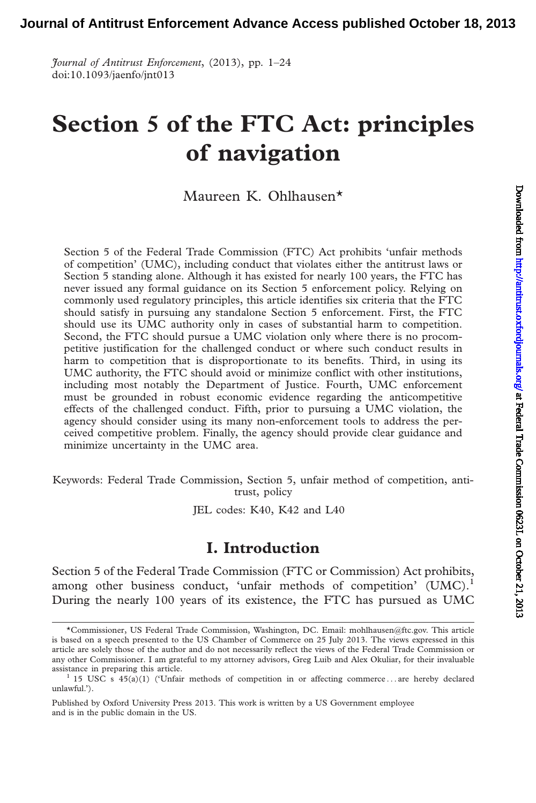Journal of Antitrust Enforcement, (2013), pp. 1–24 doi:10.1093/jaenfo/jnt013

# Section 5 of the FTC Act: principles of navigation

# Maureen K. Ohlhausen\*

Section 5 of the Federal Trade Commission (FTC) Act prohibits 'unfair methods of competition' (UMC), including conduct that violates either the antitrust laws or Section 5 standing alone. Although it has existed for nearly 100 years, the FTC has never issued any formal guidance on its Section 5 enforcement policy. Relying on commonly used regulatory principles, this article identifies six criteria that the FTC should satisfy in pursuing any standalone Section 5 enforcement. First, the FTC should use its UMC authority only in cases of substantial harm to competition. Second, the FTC should pursue a UMC violation only where there is no procompetitive justification for the challenged conduct or where such conduct results in harm to competition that is disproportionate to its benefits. Third, in using its UMC authority, the FTC should avoid or minimize conflict with other institutions, including most notably the Department of Justice. Fourth, UMC enforcement must be grounded in robust economic evidence regarding the anticompetitive effects of the challenged conduct. Fifth, prior to pursuing a UMC violation, the agency should consider using its many non-enforcement tools to address the perceived competitive problem. Finally, the agency should provide clear guidance and minimize uncertainty in the UMC area.

Keywords: Federal Trade Commission, Section 5, unfair method of competition, antitrust, policy

JEL codes: K40, K42 and L40

# I. Introduction

Section 5 of the Federal Trade Commission (FTC or Commission) Act prohibits, among other business conduct, 'unfair methods of competition' (UMC).<sup>1</sup> During the nearly 100 years of its existence, the FTC has pursued as UMC

<sup>\*</sup>Commissioner, US Federal Trade Commission, Washington, DC. Email: mohlhausen@ftc.gov. This article is based on a speech presented to the US Chamber of Commerce on 25 July 2013. The views expressed in this article are solely those of the author and do not necessarily reflect the views of the Federal Trade Commission or any other Commissioner. I am grateful to my attorney advisors, Greg Luib and Alex Okuliar, for their invaluable assistance in preparing this article.

<sup>&</sup>lt;sup>1</sup> 15 USC s  $45(\tilde{a})(1)$  ('Unfair methods of competition in or affecting commerce ... are hereby declared unlawful.').

Published by Oxford University Press 2013. This work is written by a US Government employee and is in the public domain in the US.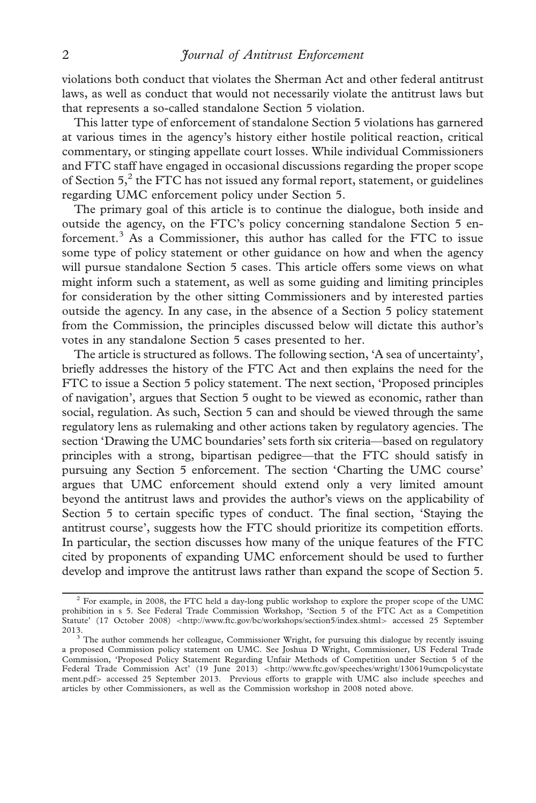violations both conduct that violates the Sherman Act and other federal antitrust laws, as well as conduct that would not necessarily violate the antitrust laws but that represents a so-called standalone Section 5 violation.

This latter type of enforcement of standalone Section 5 violations has garnered at various times in the agency's history either hostile political reaction, critical commentary, or stinging appellate court losses. While individual Commissioners and FTC staff have engaged in occasional discussions regarding the proper scope of Section  $5<sup>2</sup>$ , the FTC has not issued any formal report, statement, or guidelines regarding UMC enforcement policy under Section 5.

The primary goal of this article is to continue the dialogue, both inside and outside the agency, on the FTC's policy concerning standalone Section 5 enforcement. $3$  As a Commissioner, this author has called for the FTC to issue some type of policy statement or other guidance on how and when the agency will pursue standalone Section 5 cases. This article offers some views on what might inform such a statement, as well as some guiding and limiting principles for consideration by the other sitting Commissioners and by interested parties outside the agency. In any case, in the absence of a Section 5 policy statement from the Commission, the principles discussed below will dictate this author's votes in any standalone Section 5 cases presented to her.

The article is structured as follows. The following section, 'A sea of uncertainty', briefly addresses the history of the FTC Act and then explains the need for the FTC to issue a Section 5 policy statement. The next section, 'Proposed principles of navigation', argues that Section 5 ought to be viewed as economic, rather than social, regulation. As such, Section 5 can and should be viewed through the same regulatory lens as rulemaking and other actions taken by regulatory agencies. The section 'Drawing the UMC boundaries' sets forth six criteria—based on regulatory principles with a strong, bipartisan pedigree—that the FTC should satisfy in pursuing any Section 5 enforcement. The section 'Charting the UMC course' argues that UMC enforcement should extend only a very limited amount beyond the antitrust laws and provides the author's views on the applicability of Section 5 to certain specific types of conduct. The final section, 'Staying the antitrust course', suggests how the FTC should prioritize its competition efforts. In particular, the section discusses how many of the unique features of the FTC cited by proponents of expanding UMC enforcement should be used to further develop and improve the antitrust laws rather than expand the scope of Section 5.

<sup>2</sup> For example, in 2008, the FTC held a day-long public workshop to explore the proper scope of the UMC prohibition in s 5. See Federal Trade Commission Workshop, 'Section 5 of the FTC Act as a Competition Statute' (17 October 2008) <<http://www.ftc.gov/bc/workshops/section5/index.shtml>> accessed 25 September 2013. <sup>3</sup> The author commends her colleague, Commissioner Wright, for pursuing this dialogue by recently issuing

a proposed Commission policy statement on UMC. See Joshua D Wright, Commissioner, US Federal Trade Commission, 'Proposed Policy Statement Regarding Unfair Methods of Competition under Section 5 of the Federal Trade Commission Act' (19 June 2013) <[http://www.ftc.gov/speeches/wright/130619umcpolicystate](http://www.ftc.gov/speeches/wright/130619umcpolicystatement.pdf)<br>[ment.pdf](http://www.ftc.gov/speeches/wright/130619umcpolicystatement.pdf)> accessed 25 September 2013. Previous efforts to grapple with UMC also include speeches and articles by other Commissioners, as well as the Commission workshop in 2008 noted above.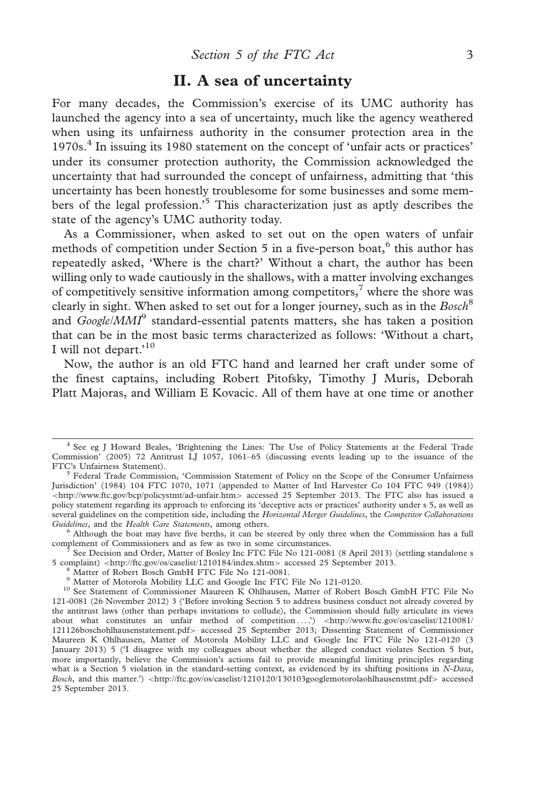# II. A sea of uncertainty

For many decades, the Commission's exercise of its UMC authority has launched the agency into a sea of uncertainty, much like the agency weathered when using its unfairness authority in the consumer protection area in the 1970s.4 In issuing its 1980 statement on the concept of 'unfair acts or practices' under its consumer protection authority, the Commission acknowledged the uncertainty that had surrounded the concept of unfairness, admitting that 'this uncertainty has been honestly troublesome for some businesses and some members of the legal profession.<sup>5</sup> This characterization just as aptly describes the state of the agency's UMC authority today.

As a Commissioner, when asked to set out on the open waters of unfair methods of competition under Section  $5$  in a five-person boat, $6$  this author has repeatedly asked, 'Where is the chart?' Without a chart, the author has been willing only to wade cautiously in the shallows, with a matter involving exchanges of competitively sensitive information among competitors,<sup>7</sup> where the shore was clearly in sight. When asked to set out for a longer journey, such as in the  $Bosch<sup>8</sup>$ and  $Google/MMI<sup>9</sup>$  standard-essential patents matters, she has taken a position that can be in the most basic terms characterized as follows: 'Without a chart, I will not depart.<sup>'10</sup>

Now, the author is an old FTC hand and learned her craft under some of the finest captains, including Robert Pitofsky, Timothy J Muris, Deborah Platt Majoras, and William E Kovacic. All of them have at one time or another

<sup>4</sup> See eg J Howard Beales, 'Brightening the Lines: The Use of Policy Statements at the Federal Trade Commission' (2005) 72 Antitrust LJ 1057, 1061–65 (discussing events leading up to the issuance of the

<sup>&</sup>lt;sup>5</sup> Federal Trade Commission, 'Commission Statement of Policy on the Scope of the Consumer Unfairness Jurisdiction' (1984) 104 FTC 1070, 1071 (appended to Matter of Intl Harvester Co 104 FTC 949 (1984)) <<http://www.ftc.gov/bcp/policystmt/ad-unfair.htm>> accessed 25 September 2013. The FTC also has issued a policy statement regarding its approach to enforcing its 'deceptive acts or practices' authority under s 5, as well as several guidelines on the competition side, including the Horizontal Merger Guidelines, the Competitor Collaborations<br>Guidelines, and the Health Care Statements, among others.

 $^6$  Although the boat may have five berths, it can be steered by only three when the Commission has a full

complement of Commissioners and as few as two in some circumstances.<br><sup>7</sup> See Decision and Order, Matter of Bosley Inc FTC File No 121-0081 (8 April 2013) (settling standalone s<br>5 complaint) <http://ftc.gov/os/caselist/1210

<sup>&</sup>lt;sup>8</sup> Matter of Robert Bosch GmbH FTC File No 121-0081.<br><sup>9</sup> Matter of Motorola Mobility LLC and Google Inc FTC File No 121-0120.<br><sup>10</sup> See Statement of Commissioner Maureen K Ohlhausen, Matter of Robert Bosch GmbH FTC File No 121-0081 (26 November 2012) 3 ('Before invoking Section 5 to address business conduct not already covered by the antitrust laws (other than perhaps invitations to collude), the Commission should fully articulate its views about what constitutes an unfair method of competition ....') <[http://www.ftc.gov/os/caselist/1210081/](http://www.ftc.gov/os/caselist/1210081/121126boschohlhausenstatement.pdf) [121126boschohlhausenstatement.pdf](http://www.ftc.gov/os/caselist/1210081/121126boschohlhausenstatement.pdf)> accessed 25 September 2013; Dissenting Statement of Commissioner Maureen K Ohlhausen, Matter of Motorola Mobility LLC and Google Inc FTC File No 121-0120 (3 January 2013) 5 ('I disagree with my colleagues about whether the alleged conduct violates Section 5 but, more importantly, believe the Commission's actions fail to provide meaningful limiting principles regarding what is a Section 5 violation in the standard-setting context, as evidenced by its shifting positions in N-Data, Bosch, and this matter.') <<http://ftc.gov/os/caselist/1210120/130103googlemotorolaohlhausenstmt.pdf>> accessed 25 September 2013.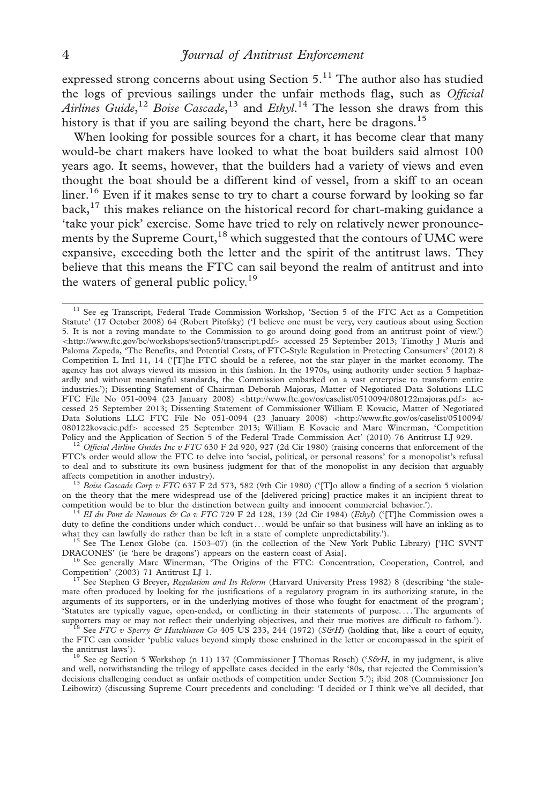expressed strong concerns about using Section  $5<sup>11</sup>$ . The author also has studied the logs of previous sailings under the unfair methods flag, such as Official Airlines Guide,<sup>12</sup> Boise Cascade,<sup>13</sup> and Ethyl.<sup>14</sup> The lesson she draws from this history is that if you are sailing beyond the chart, here be dragons.<sup>15</sup>

When looking for possible sources for a chart, it has become clear that many would-be chart makers have looked to what the boat builders said almost 100 years ago. It seems, however, that the builders had a variety of views and even thought the boat should be a different kind of vessel, from a skiff to an ocean  $\frac{16}{16}$  Even if it makes sense to try to chart a course forward by looking so far back, $^{17}$  this makes reliance on the historical record for chart-making guidance a 'take your pick' exercise. Some have tried to rely on relatively newer pronouncements by the Supreme Court, $18$  which suggested that the contours of UMC were expansive, exceeding both the letter and the spirit of the antitrust laws. They believe that this means the FTC can sail beyond the realm of antitrust and into the waters of general public policy.<sup>19</sup>

<sup>13</sup> Boise Cascade Corp v FTC 637 F 2d 573, 582 (9th Cir 1980) ('[T]o allow a finding of a section 5 violation on the theory that the mere widespread use of the [delivered pricing] practice makes it an incipient threat to competition would be to blur the distinction between guilty and innocent commercial behavior.').<br><sup>14</sup> EI du Pont de Nemours & Co v FTC 729 F 2d 128, 139 (2d Cir 1984) (Ethyl) ('[T]he Commission owes a

duty to define the conditions under which conduct ... would be unfair so that business will have an inkling as to what they can lawfully do rather than be left in a state of complete unpredictability.').

<sup>15</sup> See The Lenox Globe (ca. 1503–07) (in the collection of the New York Public Library) ['HC SVNT

DRACONES' (ie 'here be dragons') appears on the eastern coast of Asia].<br><sup>16</sup> See generally Marc Winerman, 'The Origins of the FTC: Concentration, Cooperation, Control, and<br>Competition' (2003) 71 Antitrust LJ 1.

<sup>17</sup> See Stephen G Breyer, Regulation and Its Reform (Harvard University Press 1982) 8 (describing 'the stalemate often produced by looking for the justifications of a regulatory program in its authorizing statute, in the arguments of its supporters, or in the underlying motives of those who fought for enactment of the program'; 'Statutes are typically vague, open-ended, or conflicting in their statements of purpose. ... The arguments of

and well, notwithstanding the trilogy of appellate cases decided in the early '80s, that rejected the Commission's decisions challenging conduct as unfair methods of competition under Section 5.'); ibid 208 (Commissioner Jon Leibowitz) (discussing Supreme Court precedents and concluding: 'I decided or I think we've all decided, that

<sup>&</sup>lt;sup>11</sup> See eg Transcript, Federal Trade Commission Workshop, 'Section 5 of the FTC Act as a Competition Statute' (17 October 2008) 64 (Robert Pitofsky) ('I believe one must be very, very cautious about using Section 5. It is not a roving mandate to the Commission to go around doing good from an antitrust point of view.') <<http://www.ftc.gov/bc/workshops/section5/transcript.pdf>> accessed 25 September 2013; Timothy J Muris and Paloma Zepeda, 'The Benefits, and Potential Costs, of FTC-Style Regulation in Protecting Consumers' (2012) 8 Competition L Intl 11, 14 ('[T]he FTC should be a referee, not the star player in the market economy. The agency has not always viewed its mission in this fashion. In the 1970s, using authority under section 5 haphazardly and without meaningful standards, the Commission embarked on a vast enterprise to transform entire industries.'); Dissenting Statement of Chairman Deborah Majoras, Matter of Negotiated Data Solutions LLC FTC File No 051-0094 (23 Ianuary 2008) <<http://www.ftc.gov/os/caselist/0510094/080122majoras.pdf>> accessed 25 September 2013; Dissenting Statement of Commissioner William E Kovacic, Matter of Negotiated Data Solutions LLC FTC File No 051-0094 (23 January 2008) <[http://www.ftc.gov/os/caselist/0510094/](http://www.ftc.gov/os/caselist/0510094/080122kovacic.pdf) [080122kovacic.pdf](http://www.ftc.gov/os/caselist/0510094/080122kovacic.pdf)> accessed 25 September 2013; William E Kovacic and Marc Winerman, 'Competition Policy and the Application of Section 5 of the Federal Trade Commission Act' (2010) 76 Antitrust LJ 929.

<sup>&</sup>lt;sup>12</sup> Official Airline Guides Inc v FTC 630 F 2d 920, 927 (2d Cir 1980) (raising concerns that enforcement of the FTC's order would allow the FTC to delve into 'social, political, or personal reasons' for a monopolist's refusal to deal and to substitute its own business judgment for that of the monopolist in any decision that arguably affects competition in another industry).

<sup>&</sup>lt;sup>Is</sup> See FTC v Sperry & Hutchinson Co 405 US 233, 244 (1972) (S&H) (holding that, like a court of equity, the FTC can consider 'public values beyond simply those enshrined in the letter or encompassed in the spirit of the antitrust laws').<br><sup>19</sup> See eg Section 5 Workshop (n 11) 137 (Commissioner J Thomas Rosch) ('S&H, in my judgment, is alive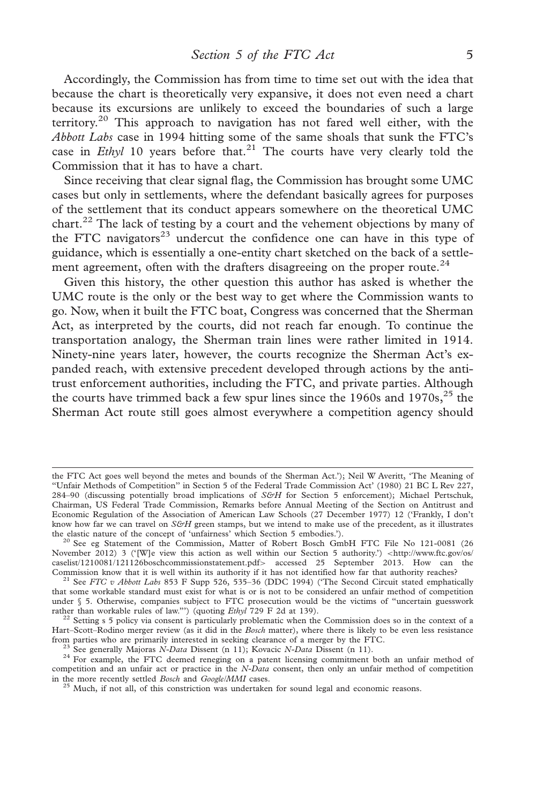Accordingly, the Commission has from time to time set out with the idea that because the chart is theoretically very expansive, it does not even need a chart because its excursions are unlikely to exceed the boundaries of such a large territory.<sup>20</sup> This approach to navigation has not fared well either, with the Abbott Labs case in 1994 hitting some of the same shoals that sunk the FTC's case in *Ethyl* 10 years before that.<sup>21</sup> The courts have very clearly told the Commission that it has to have a chart.

Since receiving that clear signal flag, the Commission has brought some UMC cases but only in settlements, where the defendant basically agrees for purposes of the settlement that its conduct appears somewhere on the theoretical UMC chart.<sup>22</sup> The lack of testing by a court and the vehement objections by many of the FTC navigators $^{23}$  undercut the confidence one can have in this type of guidance, which is essentially a one-entity chart sketched on the back of a settlement agreement, often with the drafters disagreeing on the proper route.<sup>24</sup>

Given this history, the other question this author has asked is whether the UMC route is the only or the best way to get where the Commission wants to go. Now, when it built the FTC boat, Congress was concerned that the Sherman Act, as interpreted by the courts, did not reach far enough. To continue the transportation analogy, the Sherman train lines were rather limited in 1914. Ninety-nine years later, however, the courts recognize the Sherman Act's expanded reach, with extensive precedent developed through actions by the antitrust enforcement authorities, including the FTC, and private parties. Although the courts have trimmed back a few spur lines since the  $1960s$  and  $1970s$ ,  $25$  the Sherman Act route still goes almost everywhere a competition agency should

the FTC Act goes well beyond the metes and bounds of the Sherman Act.'); Neil W Averitt, 'The Meaning of ''Unfair Methods of Competition'' in Section 5 of the Federal Trade Commission Act' (1980) 21 BC L Rev 227, 284-90 (discussing potentially broad implications of S&H for Section 5 enforcement); Michael Pertschuk, Chairman, US Federal Trade Commission, Remarks before Annual Meeting of the Section on Antitrust and Economic Regulation of the Association of American Law Schools (27 December 1977) 12 ('Frankly, I don't know how far we can travel on  $S\&H$  green stamps, but we intend to make use of the precedent, as it illustrates the elastic nature of the concept of 'unfairness' which Section 5 embodies.').

<sup>&</sup>lt;sup>20</sup> See eg Statement of the Commission, Matter of Robert Bosch GmbH FTC File No 121-0081 (26 November 2012) 3 ('[W]e view this action as well within our Section 5 authority.') <[http://www.ftc.gov/os/](http://www.ftc.gov/os/caselist/1210081/121126boschcommissionstatement.pdf) [caselist/1210081/121126boschcommissionstatement.pdf](http://www.ftc.gov/os/caselist/1210081/121126boschcommissionstatement.pdf)> accessed 25 September 2013. How can the Commission know that it is well within its authority if it has not identified how far that authority reaches?

<sup>&</sup>lt;sup>21</sup> See FTC v Abbott Labs 853 F Supp 526, 535–36 (DDC 1994) ('The Second Circuit stated emphatically that some workable standard must exist for what is or is not to be considered an unfair method of competition under  $\S$  5. Otherwise, companies subject to FTC prosecution would be the victims of "uncertain guesswork rather than workable rules of law."") (quoting *Ethyl* 729 F 2d at 139).

 $2$  Setting s 5 policy via consent is particularly problematic when the Commission does so in the context of a Hart–Scott–Rodino merger review (as it did in the *Bosch* matter), where there is likely to be even less resistance from parties who are primarily interested in seeking clearance of a merger by the FTC.

<sup>&</sup>lt;sup>23</sup> See generally Majoras *N-Data* Dissent (n 11); Kovacic *N-Data* Dissent (n 11).<br><sup>24</sup> For example, the FTC deemed reneging on a patent licensing commitment both an unfair method of competition and an unfair act or practice in the N-Data consent, then only an unfair method of competition in the more recently settled *Bosch* and *Google/MMI* cases.

<sup>&</sup>lt;sup>25</sup> Much, if not all, of this constriction was undertaken for sound legal and economic reasons.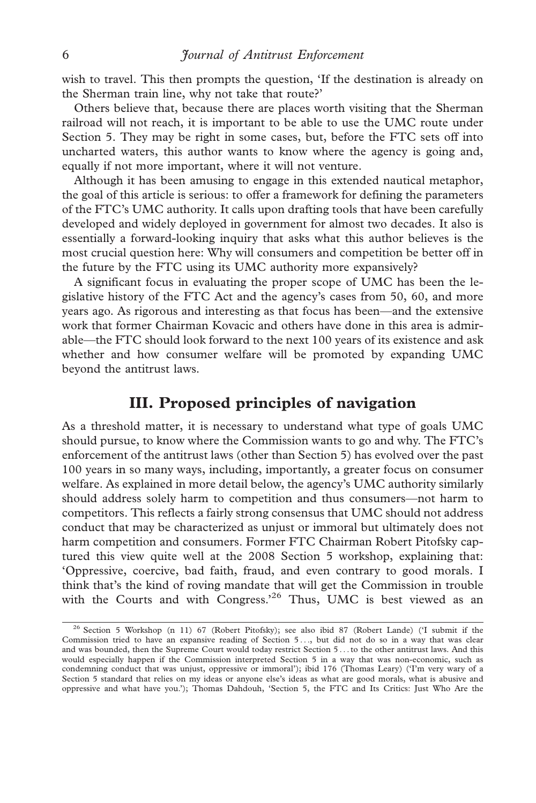wish to travel. This then prompts the question, 'If the destination is already on the Sherman train line, why not take that route?'

Others believe that, because there are places worth visiting that the Sherman railroad will not reach, it is important to be able to use the UMC route under Section 5. They may be right in some cases, but, before the FTC sets off into uncharted waters, this author wants to know where the agency is going and, equally if not more important, where it will not venture.

Although it has been amusing to engage in this extended nautical metaphor, the goal of this article is serious: to offer a framework for defining the parameters of the FTC's UMC authority. It calls upon drafting tools that have been carefully developed and widely deployed in government for almost two decades. It also is essentially a forward-looking inquiry that asks what this author believes is the most crucial question here: Why will consumers and competition be better off in the future by the FTC using its UMC authority more expansively?

A significant focus in evaluating the proper scope of UMC has been the legislative history of the FTC Act and the agency's cases from 50, 60, and more years ago. As rigorous and interesting as that focus has been—and the extensive work that former Chairman Kovacic and others have done in this area is admirable—the FTC should look forward to the next 100 years of its existence and ask whether and how consumer welfare will be promoted by expanding UMC beyond the antitrust laws.

# III. Proposed principles of navigation

As a threshold matter, it is necessary to understand what type of goals UMC should pursue, to know where the Commission wants to go and why. The FTC's enforcement of the antitrust laws (other than Section 5) has evolved over the past 100 years in so many ways, including, importantly, a greater focus on consumer welfare. As explained in more detail below, the agency's UMC authority similarly should address solely harm to competition and thus consumers—not harm to competitors. This reflects a fairly strong consensus that UMC should not address conduct that may be characterized as unjust or immoral but ultimately does not harm competition and consumers. Former FTC Chairman Robert Pitofsky captured this view quite well at the 2008 Section 5 workshop, explaining that: 'Oppressive, coercive, bad faith, fraud, and even contrary to good morals. I think that's the kind of roving mandate that will get the Commission in trouble with the Courts and with Congress.<sup>26</sup> Thus, UMC is best viewed as an

<sup>&</sup>lt;sup>26</sup> Section 5 Workshop (n 11) 67 (Robert Pitofsky); see also ibid 87 (Robert Lande) ('I submit if the Commission tried to have an expansive reading of Section 5 ..., but did not do so in a way that was clear and was bounded, then the Supreme Court would today restrict Section 5 ...to the other antitrust laws. And this would especially happen if the Commission interpreted Section 5 in a way that was non-economic, such as condemning conduct that was unjust, oppressive or immoral'); ibid 176 (Thomas Leary) ('I'm very wary of a Section 5 standard that relies on my ideas or anyone else's ideas as what are good morals, what is abusive and oppressive and what have you.'); Thomas Dahdouh, 'Section 5, the FTC and Its Critics: Just Who Are the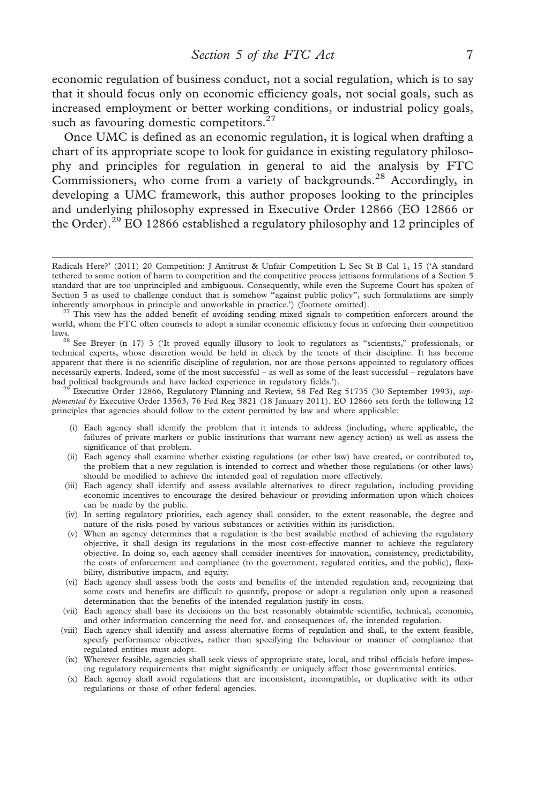economic regulation of business conduct, not a social regulation, which is to say that it should focus only on economic efficiency goals, not social goals, such as increased employment or better working conditions, or industrial policy goals, such as favouring domestic competitors. $27$ 

Once UMC is defined as an economic regulation, it is logical when drafting a chart of its appropriate scope to look for guidance in existing regulatory philosophy and principles for regulation in general to aid the analysis by FTC Commissioners, who come from a variety of backgrounds.<sup>28</sup> Accordingly, in developing a UMC framework, this author proposes looking to the principles and underlying philosophy expressed in Executive Order 12866 (EO 12866 or the Order).<sup>29</sup> EO 12866 established a regulatory philosophy and 12 principles of

plemented by Executive Order 13563, 76 Fed Reg 3821 (18 January 2011). EO 12866 sets forth the following 12 principles that agencies should follow to the extent permitted by law and where applicable:

- (i) Each agency shall identify the problem that it intends to address (including, where applicable, the failures of private markets or public institutions that warrant new agency action) as well as assess the significance of that problem.
- (ii) Each agency shall examine whether existing regulations (or other law) have created, or contributed to, the problem that a new regulation is intended to correct and whether those regulations (or other laws) should be modified to achieve the intended goal of regulation more effectively.
- (iii) Each agency shall identify and assess available alternatives to direct regulation, including providing economic incentives to encourage the desired behaviour or providing information upon which choices can be made by the public.
- (iv) In setting regulatory priorities, each agency shall consider, to the extent reasonable, the degree and nature of the risks posed by various substances or activities within its jurisdiction.
- (v) When an agency determines that a regulation is the best available method of achieving the regulatory objective, it shall design its regulations in the most cost-effective manner to achieve the regulatory objective. In doing so, each agency shall consider incentives for innovation, consistency, predictability, the costs of enforcement and compliance (to the government, regulated entities, and the public), flexibility, distributive impacts, and equity.
- (vi) Each agency shall assess both the costs and benefits of the intended regulation and, recognizing that some costs and benefits are difficult to quantify, propose or adopt a regulation only upon a reasoned determination that the benefits of the intended regulation justify its costs.
- (vii) Each agency shall base its decisions on the best reasonably obtainable scientific, technical, economic, and other information concerning the need for, and consequences of, the intended regulation.
- (viii) Each agency shall identify and assess alternative forms of regulation and shall, to the extent feasible, specify performance objectives, rather than specifying the behaviour or manner of compliance that regulated entities must adopt.
- (ix) Wherever feasible, agencies shall seek views of appropriate state, local, and tribal officials before imposing regulatory requirements that might significantly or uniquely affect those governmental entities.
- (x) Each agency shall avoid regulations that are inconsistent, incompatible, or duplicative with its other regulations or those of other federal agencies.

Radicals Here?' (2011) 20 Competition: J Antitrust & Unfair Competition L Sec St B Cal 1, 15 ('A standard tethered to some notion of harm to competition and the competitive process jettisons formulations of a Section 5 standard that are too unprincipled and ambiguous. Consequently, while even the Supreme Court has spoken of Section 5 as used to challenge conduct that is somehow "against public policy", such formulations are simply inherently amorphous in principle and unworkable in practice.') (footnote omitted).

 $^{27}$  This view has the added benefit of avoiding sending mixed signals to competition enforcers around the world, whom the FTC often counsels to adopt a similar economic efficiency focus in enforcing their competition

laws.<br><sup>28</sup> See Breyer (n 17) 3 ('It proved equally illusory to look to regulators as "scientists," professionals, or technical experts, whose discretion would be held in check by the tenets of their discipline. It has become apparent that there is no scientific discipline of regulation, nor are those persons appointed to regulatory offices necessarily experts. Indeed, some of the most successful – as well as some of the least successful – regulators have had political backgrounds and have lacked experience in regulatory fields.').<br><sup>29</sup> Executive Order 12866, Regulatory Planning and Review, 58 Fed Reg 51735 (30 September 1993), *sup-*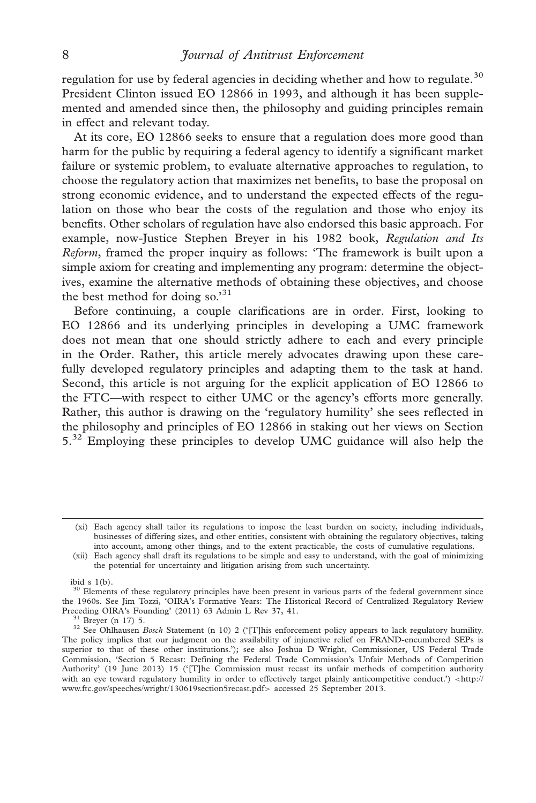regulation for use by federal agencies in deciding whether and how to regulate.<sup>30</sup> President Clinton issued EO 12866 in 1993, and although it has been supplemented and amended since then, the philosophy and guiding principles remain in effect and relevant today.

At its core, EO 12866 seeks to ensure that a regulation does more good than harm for the public by requiring a federal agency to identify a significant market failure or systemic problem, to evaluate alternative approaches to regulation, to choose the regulatory action that maximizes net benefits, to base the proposal on strong economic evidence, and to understand the expected effects of the regulation on those who bear the costs of the regulation and those who enjoy its benefits. Other scholars of regulation have also endorsed this basic approach. For example, now-Justice Stephen Breyer in his 1982 book, Regulation and Its Reform, framed the proper inquiry as follows: 'The framework is built upon a simple axiom for creating and implementing any program: determine the objectives, examine the alternative methods of obtaining these objectives, and choose the best method for doing so.'<sup>31</sup>

Before continuing, a couple clarifications are in order. First, looking to EO 12866 and its underlying principles in developing a UMC framework does not mean that one should strictly adhere to each and every principle in the Order. Rather, this article merely advocates drawing upon these carefully developed regulatory principles and adapting them to the task at hand. Second, this article is not arguing for the explicit application of EO 12866 to the FTC—with respect to either UMC or the agency's efforts more generally. Rather, this author is drawing on the 'regulatory humility' she sees reflected in the philosophy and principles of EO 12866 in staking out her views on Section 5.<sup>32</sup> Employing these principles to develop UMC guidance will also help the

ibid  $s \; 1(b)$ .

<sup>(</sup>xi) Each agency shall tailor its regulations to impose the least burden on society, including individuals, businesses of differing sizes, and other entities, consistent with obtaining the regulatory objectives, taking into account, among other things, and to the extent practicable, the costs of cumulative regulations.

<sup>(</sup>xii) Each agency shall draft its regulations to be simple and easy to understand, with the goal of minimizing the potential for uncertainty and litigation arising from such uncertainty.

 $30$  Elements of these regulatory principles have been present in various parts of the federal government since the 1960s. See Jim Tozzi, 'OIRA's Formative Years: The Historical Record of Centralized Regulatory Review Preceding OIRA's Founding' (2011) 63 Admin L Rev 37, 41.

<sup>&</sup>lt;sup>31</sup> Breyer (n 17) 5.<br><sup>32</sup> See Ohlhausen *Bosch* Statement (n 10) 2 ('[T]his enforcement policy appears to lack regulatory humility. The policy implies that our judgment on the availability of injunctive relief on FRAND-encumbered SEPs is superior to that of these other institutions.'); see also Joshua D Wright, Commissioner, US Federal Trade Commission, 'Section 5 Recast: Defining the Federal Trade Commission's Unfair Methods of Competition Authority' (19 June 2013) 15 ('[T]he Commission must recast its unfair methods of competition authority with an eye toward regulatory humility in order to effectively target plainly anticompetitive conduct.') <[http://](http://www.ftc.gov/speeches/wright/130619section5recast.pdf) [www.ftc.gov/speeches/wright/130619section5recast.pdf](http://www.ftc.gov/speeches/wright/130619section5recast.pdf)> accessed 25 September 2013.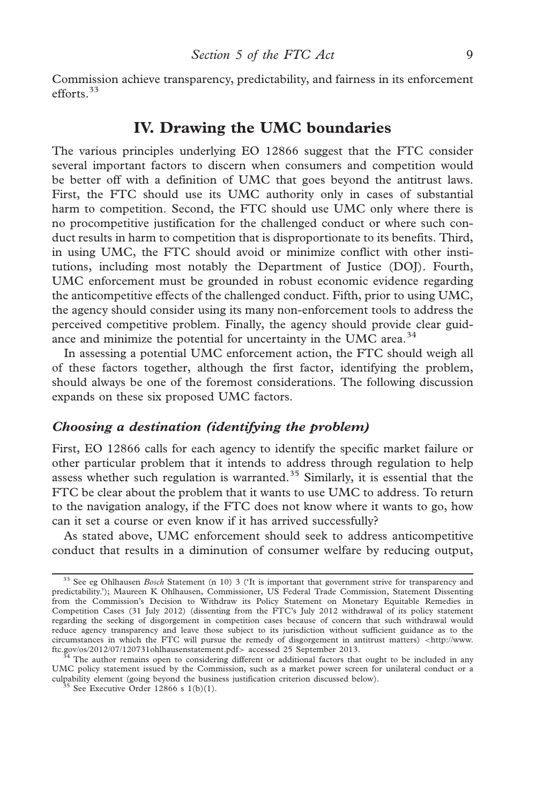Commission achieve transparency, predictability, and fairness in its enforcement efforts.33

# IV. Drawing the UMC boundaries

The various principles underlying EO 12866 suggest that the FTC consider several important factors to discern when consumers and competition would be better off with a definition of UMC that goes beyond the antitrust laws. First, the FTC should use its UMC authority only in cases of substantial harm to competition. Second, the FTC should use UMC only where there is no procompetitive justification for the challenged conduct or where such conduct results in harm to competition that is disproportionate to its benefits. Third, in using UMC, the FTC should avoid or minimize conflict with other institutions, including most notably the Department of Justice (DOJ). Fourth, UMC enforcement must be grounded in robust economic evidence regarding the anticompetitive effects of the challenged conduct. Fifth, prior to using UMC, the agency should consider using its many non-enforcement tools to address the perceived competitive problem. Finally, the agency should provide clear guidance and minimize the potential for uncertainty in the UMC area.<sup>34</sup>

In assessing a potential UMC enforcement action, the FTC should weigh all of these factors together, although the first factor, identifying the problem, should always be one of the foremost considerations. The following discussion expands on these six proposed UMC factors.

#### Choosing a destination (identifying the problem)

First, EO 12866 calls for each agency to identify the specific market failure or other particular problem that it intends to address through regulation to help assess whether such regulation is warranted.<sup>35</sup> Similarly, it is essential that the FTC be clear about the problem that it wants to use UMC to address. To return to the navigation analogy, if the FTC does not know where it wants to go, how can it set a course or even know if it has arrived successfully?

As stated above, UMC enforcement should seek to address anticompetitive conduct that results in a diminution of consumer welfare by reducing output,

 $33$  See eg Ohlhausen *Bosch* Statement (n 10) 3 ('It is important that government strive for transparency and predictability.'); Maureen K Ohlhausen, Commissioner, US Federal Trade Commission, Statement Dissenting from the Commission's Decision to Withdraw its Policy Statement on Monetary Equitable Remedies in Competition Cases (31 July 2012) (dissenting from the FTC's July 2012 withdrawal of its policy statement regarding the seeking of disgorgement in competition cases because of concern that such withdrawal would reduce agency transparency and leave those subject to its jurisdiction without sufficient guidance as to the circumstances in which the FTC will pursue the remedy of disgorgement in antitrust matters) <[http://www.](http://www.ftc.gov/os/2012/07/120731ohlhausenstatement.pdf)<br>ftc.gov/os/2012/07/120731ohlhausenstatement.pdf> accessed 25 September 2013.

 $4$  The author remains open to considering different or additional factors that ought to be included in any UMC policy statement issued by the Commission, such as a market power screen for unilateral conduct or a culpability element (going beyond the business justification criterion discussed below). <sup>35</sup> See Executive Order 12866 s 1(b)(1).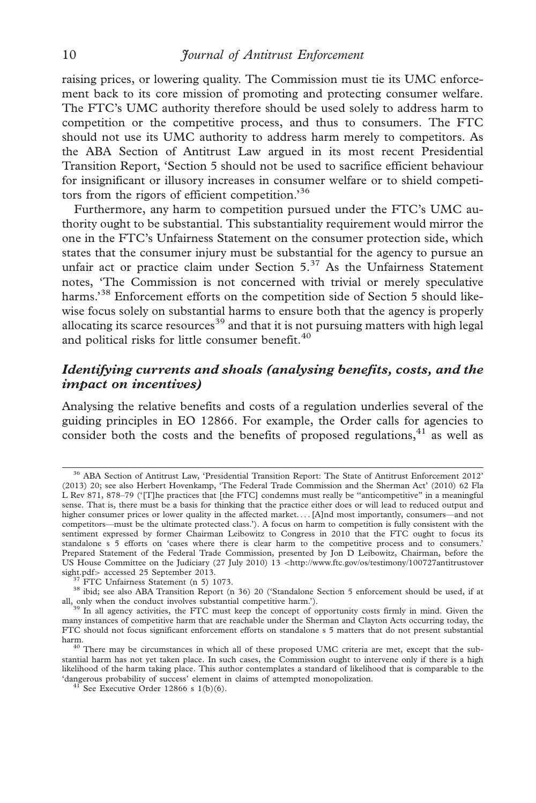raising prices, or lowering quality. The Commission must tie its UMC enforcement back to its core mission of promoting and protecting consumer welfare. The FTC's UMC authority therefore should be used solely to address harm to competition or the competitive process, and thus to consumers. The FTC should not use its UMC authority to address harm merely to competitors. As the ABA Section of Antitrust Law argued in its most recent Presidential Transition Report, 'Section 5 should not be used to sacrifice efficient behaviour for insignificant or illusory increases in consumer welfare or to shield competitors from the rigors of efficient competition.<sup>36</sup>

Furthermore, any harm to competition pursued under the FTC's UMC authority ought to be substantial. This substantiality requirement would mirror the one in the FTC's Unfairness Statement on the consumer protection side, which states that the consumer injury must be substantial for the agency to pursue an unfair act or practice claim under Section  $5.37$  As the Unfairness Statement notes, 'The Commission is not concerned with trivial or merely speculative harms.'<sup>38</sup> Enforcement efforts on the competition side of Section 5 should likewise focus solely on substantial harms to ensure both that the agency is properly allocating its scarce resources<sup>39</sup> and that it is not pursuing matters with high legal and political risks for little consumer benefit.<sup>40</sup>

## Identifying currents and shoals (analysing benefits, costs, and the impact on incentives)

Analysing the relative benefits and costs of a regulation underlies several of the guiding principles in EO 12866. For example, the Order calls for agencies to consider both the costs and the benefits of proposed regulations, $41$  as well as

<sup>36</sup> ABA Section of Antitrust Law, 'Presidential Transition Report: The State of Antitrust Enforcement 2012' (2013) 20; see also Herbert Hovenkamp, 'The Federal Trade Commission and the Sherman Act' (2010) 62 Fla L Rev 871, 878–79 ('[T]he practices that [the FTC] condemns must really be ''anticompetitive'' in a meaningful sense. That is, there must be a basis for thinking that the practice either does or will lead to reduced output and higher consumer prices or lower quality in the affected market. . . [A]nd most importantly, consumers—and not competitors—must be the ultimate protected class.'). A focus on harm to competition is fully consistent with the sentiment expressed by former Chairman Leibowitz to Congress in 2010 that the FTC ought to focus its standalone s 5 efforts on 'cases where there is clear harm to the competitive process and to consumers.' Prepared Statement of the Federal Trade Commission, presented by Jon D Leibowitz, Chairman, before the US House Committee on the Judiciary (27 July 2010) 13 <[http://www.ftc.gov/os/testimony/100727antitrustover](http://www.ftc.gov/os/testimony/100727antitrustoversight.pdf) sight.pdf> accessed 25 September 2013.

<sup>&</sup>lt;sup>37</sup> FTC Unfairness Statement (n 5) 1073.<br><sup>38</sup> ibid; see also ABA Transition Report (n 36) 20 ('Standalone Section 5 enforcement should be used, if at all, only when the conduct involves substantial competitive harm.').<br><sup>39</sup> In all agency activities, the FTC must keep the concept of opportunity costs firmly in mind. Given the

many instances of competitive harm that are reachable under the Sherman and Clayton Acts occurring today, the FTC should not focus significant enforcement efforts on standalone s 5 matters that do not present substantial harm.<br><sup>40</sup> There may be circumstances in which all of these proposed UMC criteria are met, except that the sub-

stantial harm has not yet taken place. In such cases, the Commission ought to intervene only if there is a high likelihood of the harm taking place. This author contemplates a standard of likelihood that is comparable to the 'dangerous probability of success' element in claims of attempted monopolization.  $41$  See Executive Order 12866 s 1(b)(6).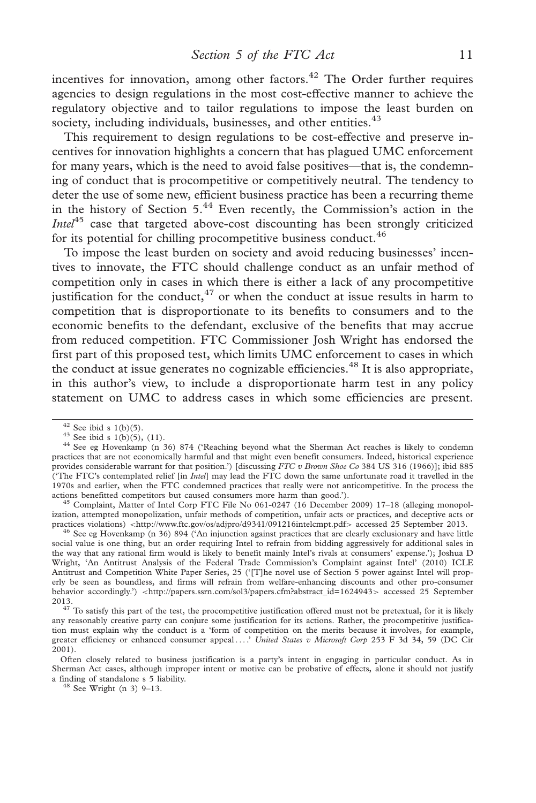incentives for innovation, among other factors.<sup>42</sup> The Order further requires agencies to design regulations in the most cost-effective manner to achieve the regulatory objective and to tailor regulations to impose the least burden on society, including individuals, businesses, and other entities.  $43$ 

This requirement to design regulations to be cost-effective and preserve incentives for innovation highlights a concern that has plagued UMC enforcement for many years, which is the need to avoid false positives—that is, the condemning of conduct that is procompetitive or competitively neutral. The tendency to deter the use of some new, efficient business practice has been a recurring theme in the history of Section  $5^{44}$  Even recently, the Commission's action in the *Intel*<sup>45</sup> case that targeted above-cost discounting has been strongly criticized for its potential for chilling procompetitive business conduct.  $46$ 

To impose the least burden on society and avoid reducing businesses' incentives to innovate, the FTC should challenge conduct as an unfair method of competition only in cases in which there is either a lack of any procompetitive justification for the conduct, $47$  or when the conduct at issue results in harm to competition that is disproportionate to its benefits to consumers and to the economic benefits to the defendant, exclusive of the benefits that may accrue from reduced competition. FTC Commissioner Josh Wright has endorsed the first part of this proposed test, which limits UMC enforcement to cases in which the conduct at issue generates no cognizable efficiencies.<sup>48</sup> It is also appropriate, in this author's view, to include a disproportionate harm test in any policy statement on UMC to address cases in which some efficiencies are present.

ization, attempted monopolization, unfair methods of competition, unfair acts or practices, and deceptive acts or practices violations) <http://www.ftc.gov/os/adjpro/d9341/091216intelcmpt.pdf> accessed 25 September 2013.

<sup>46</sup> See eg Hovenkamp (n 36) 894 ('An injunction against practices that are clearly exclusionary and have little social value is one thing, but an order requiring Intel to refrain from bidding aggressively for additional sales in the way that any rational firm would is likely to benefit mainly Intel's rivals at consumers' expense.'); Joshua D Wright, 'An Antitrust Analysis of the Federal Trade Commission's Complaint against Intel' (2010) ICLE Antitrust and Competition White Paper Series, 25 ('[T]he novel use of Section 5 power against Intel will properly be seen as boundless, and firms will refrain from welfare-enhancing discounts and other pro-consumer behavior accordingly.') <[http://papers.ssrn.com/sol3/papers.cfm?abstract\\_id=1624943](http://papers.ssrn.com/sol3/papers.cfm?abstract_id=1624943)> accessed 25 September 2013.

<sup>&</sup>lt;sup>42</sup> See ibid s 1(b)(5).<br><sup>43</sup> See ibid s 1(b)(5), (11).<br><sup>44</sup> See eg Hovenkamp (n 36) 874 ('Reaching beyond what the Sherman Act reaches is likely to condemn practices that are not economically harmful and that might even benefit consumers. Indeed, historical experience provides considerable warrant for that position.') [discussing FTC v Brown Shoe Co 384 US 316 (1966)]; ibid 885 ('The FTC's contemplated relief [in *Intel*] may lead the FTC down the same unfortunate road it travelled in the 1970s and earlier, when the FTC condemned practices that really were not anticompetitive. In the process the actions benefitted competitors but caused consumers more harm than good.').<br><sup>45</sup> Complaint, Matter of Intel Corp FTC File No 061-0247 (16 December 2009) 17–18 (alleging monopol-

 $47$  To satisfy this part of the test, the procompetitive justification offered must not be pretextual, for it is likely any reasonably creative party can conjure some justification for its actions. Rather, the procompetitive justification must explain why the conduct is a 'form of competition on the merits because it involves, for example, greater efficiency or enhanced consumer appeal ....' United States v Microsoft Corp 253 F 3d 34, 59 (DC Cir 2001).

Often closely related to business justification is a party's intent in engaging in particular conduct. As in Sherman Act cases, although improper intent or motive can be probative of effects, alone it should not justify a finding of standalone s 5 liability. <sup>48</sup> See Wright (n 3) 9–13.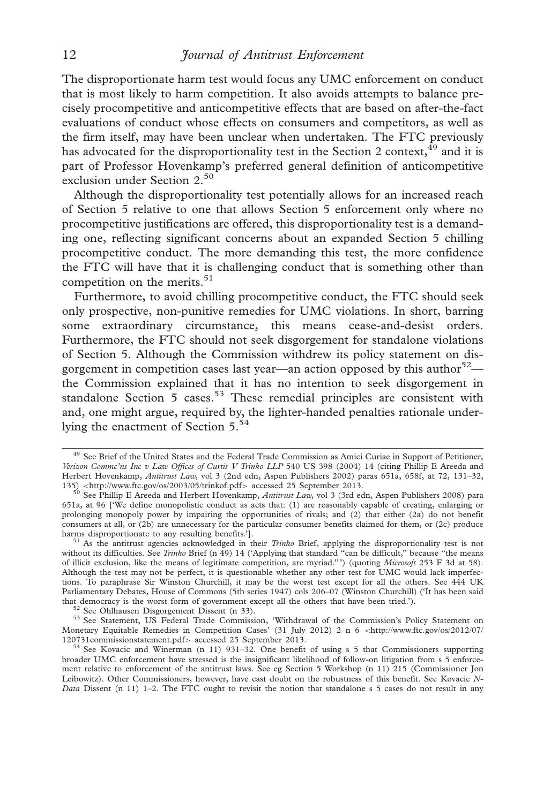The disproportionate harm test would focus any UMC enforcement on conduct that is most likely to harm competition. It also avoids attempts to balance precisely procompetitive and anticompetitive effects that are based on after-the-fact evaluations of conduct whose effects on consumers and competitors, as well as the firm itself, may have been unclear when undertaken. The FTC previously has advocated for the disproportionality test in the Section 2 context,  $49$  and it is part of Professor Hovenkamp's preferred general definition of anticompetitive exclusion under Section 2.50

Although the disproportionality test potentially allows for an increased reach of Section 5 relative to one that allows Section 5 enforcement only where no procompetitive justifications are offered, this disproportionality test is a demanding one, reflecting significant concerns about an expanded Section 5 chilling procompetitive conduct. The more demanding this test, the more confidence the FTC will have that it is challenging conduct that is something other than competition on the merits. $51$ 

Furthermore, to avoid chilling procompetitive conduct, the FTC should seek only prospective, non-punitive remedies for UMC violations. In short, barring some extraordinary circumstance, this means cease-and-desist orders. Furthermore, the FTC should not seek disgorgement for standalone violations of Section 5. Although the Commission withdrew its policy statement on disgorgement in competition cases last year—an action opposed by this author<sup>52</sup> the Commission explained that it has no intention to seek disgorgement in standalone Section  $5$  cases.<sup>53</sup> These remedial principles are consistent with and, one might argue, required by, the lighter-handed penalties rationale underlying the enactment of Section 5.<sup>54</sup>

<sup>&</sup>lt;sup>49</sup> See Brief of the United States and the Federal Trade Commission as Amici Curiae in Support of Petitioner, Verizon Commc'ns Inc v Law Offices of Curtis V Trinko LLP 540 US 398 (2004) 14 (citing Phillip E Areeda and Herbert Hovenkamp, Antitrust Law, vol 3 (2nd edn, Aspen Publishers 2002) paras 651a, 658f, at 72, 131-32, 135) <http://www.ftc.gov/os/2003/05/trinkof.pdf> accessed 25 September 2013.

<sup>&</sup>lt;sup>50</sup> See Phillip E Areeda and Herbert Hovenkamp, *Antitrust Law*, vol 3 (3rd edn, Aspen Publishers 2008) para 651a, at 96 ['We define monopolistic conduct as acts that: (1) are reasonably capable of creating, enlarging or prolonging monopoly power by impairing the opportunities of rivals; and (2) that either (2a) do not benefit consumers at all, or (2b) are unnecessary for the particular consumer benefits claimed for them, or (2c) produce harms disproportionate to any resulting benefits.'].

 $51$  As the antitrust agencies acknowledged in their *Trinko* Brief, applying the disproportionality test is not without its difficulties. See Trinko Brief (n 49) 14 ('Applying that standard "can be difficult," because "the means of illicit exclusion, like the means of legitimate competition, are myriad.''') (quoting Microsoft 253 F 3d at 58). Although the test may not be perfect, it is questionable whether any other test for UMC would lack imperfections. To paraphrase Sir Winston Churchill, it may be the worst test except for all the others. See 444 UK Parliamentary Debates, House of Commons (5th series 1947) cols 206–07 (Winston Churchill) ('It has been said that democracy is the worst form of government except all the others that have been tried.').<br>  $52$  See Ohlhausen Disgorgement Dissent (n 33).<br>  $53$  See Statement, US Federal Trade Commission, 'Withdrawal of the Commissio

Monetary Equitable Remedies in Competition Cases' (31 July 2012) 2 n 6 <[http://www.ftc.gov/os/2012/07/](http://www.ftc.gov/os/2012/07/120731commissionstatement.pdf)<br>120731commissionstatement.pdf> accessed 25 September 2013.

 $54$  See Kovacic and Winerman (n 11) 931–32. One benefit of using s 5 that Commissioners supporting broader UMC enforcement have stressed is the insignificant likelihood of follow-on litigation from s 5 enforcement relative to enforcement of the antitrust laws. See eg Section 5 Workshop (n 11) 215 (Commissioner Jon Leibowitz). Other Commissioners, however, have cast doubt on the robustness of this benefit. See Kovacic N-Data Dissent (n 11) 1–2. The FTC ought to revisit the notion that standalone s 5 cases do not result in any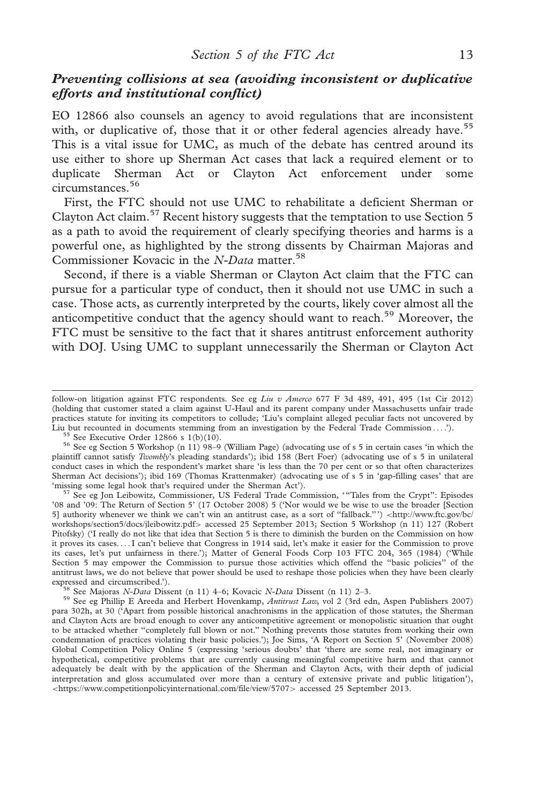## Preventing collisions at sea (avoiding inconsistent or duplicative efforts and institutional conflict)

EO 12866 also counsels an agency to avoid regulations that are inconsistent with, or duplicative of, those that it or other federal agencies already have.<sup>55</sup> This is a vital issue for UMC, as much of the debate has centred around its use either to shore up Sherman Act cases that lack a required element or to duplicate Sherman Act or Clayton Act enforcement under some circumstances.<sup>56</sup>

First, the FTC should not use UMC to rehabilitate a deficient Sherman or Clayton Act claim.<sup>57</sup> Recent history suggests that the temptation to use Section 5 as a path to avoid the requirement of clearly specifying theories and harms is a powerful one, as highlighted by the strong dissents by Chairman Majoras and Commissioner Kovacic in the N-Data matter.<sup>58</sup>

Second, if there is a viable Sherman or Clayton Act claim that the FTC can pursue for a particular type of conduct, then it should not use UMC in such a case. Those acts, as currently interpreted by the courts, likely cover almost all the anticompetitive conduct that the agency should want to reach.<sup>59</sup> Moreover, the FTC must be sensitive to the fact that it shares antitrust enforcement authority with DOJ. Using UMC to supplant unnecessarily the Sherman or Clayton Act

<sup>57</sup> See eg Jon Leibowitz, Commissioner, US Federal Trade Commission, '"Tales from the Crypt": Episodes '08 and '09: The Return of Section 5' (17 October 2008) 5 ('Nor would we be wise to use the broader [Section 5] authority whenever we think we can't win an antitrust case, as a sort of "fallback."') <[http://www.ftc.gov/bc/](http://www.ftc.gov/bc/workshops/section5/docs/jleibowitz.pdf) [workshops/section5/docs/jleibowitz.pdf](http://www.ftc.gov/bc/workshops/section5/docs/jleibowitz.pdf)> accessed 25 September 2013; Section 5 Workshop (n 11) 127 (Robert Pitofsky) ('I really do not like that idea that Section 5 is there to diminish the burden on the Commission on how it proves its cases. ...I can't believe that Congress in 1914 said, let's make it easier for the Commission to prove its cases, let's put unfairness in there.'); Matter of General Foods Corp 103 FTC 204, 365 (1984) ('While Section 5 may empower the Commission to pursue those activities which offend the ''basic policies'' of the antitrust laws, we do not believe that power should be used to reshape those policies when they have been clearly expressed and circumscribed.').

<sup>58</sup> See Majoras N-Data Dissent (n 11) 4–6; Kovacic N-Data Dissent (n 11) 2–3.<br><sup>59</sup> See eg Phillip E Areeda and Herbert Hovenkamp, *Antitrust Law*, vol 2 (3rd edn, Aspen Publishers 2007) para 302h, at 30 ('Apart from possible historical anachronisms in the application of those statutes, the Sherman and Clayton Acts are broad enough to cover any anticompetitive agreement or monopolistic situation that ought to be attacked whether ''completely full blown or not.'' Nothing prevents those statutes from working their own condemnation of practices violating their basic policies.'); Joe Sims, 'A Report on Section 5' (November 2008) Global Competition Policy Online 5 (expressing 'serious doubts' that 'there are some real, not imaginary or hypothetical, competitive problems that are currently causing meaningful competitive harm and that cannot adequately be dealt with by the application of the Sherman and Clayton Acts, with their depth of judicial interpretation and gloss accumulated over more than a century of extensive private and public litigation'), <<https://www.competitionpolicyinternational.com/file/view/5707>> accessed 25 September 2013.

follow-on litigation against FTC respondents. See eg Liu v Amerco 677 F 3d 489, 491, 495 (1st Cir 2012) (holding that customer stated a claim against U-Haul and its parent company under Massachusetts unfair trade practices statute for inviting its competitors to collude; 'Liu's complaint alleged peculiar facts not uncovered by<br>Liu but recounted in documents stemming from an investigation by the Federal Trade Commission....').

<sup>&</sup>lt;sup>55</sup> See Executive Order 12866 s  $1(b)(10)$ .<br><sup>56</sup> See eg Section 5 Workshop (n 11) 98–9 (William Page) (advocating use of s 5 in certain cases 'in which the plaintiff cannot satisfy Twombly's pleading standards'); ibid 158 (Bert Foer) (advocating use of s 5 in unilateral conduct cases in which the respondent's market share 'is less than the 70 per cent or so that often characterizes Sherman Act decisions'); ibid 169 (Thomas Krattenmaker) (advocating use of s 5 in 'gap-filling cases' that are 'missing some legal hook that's required under the Sherman Act').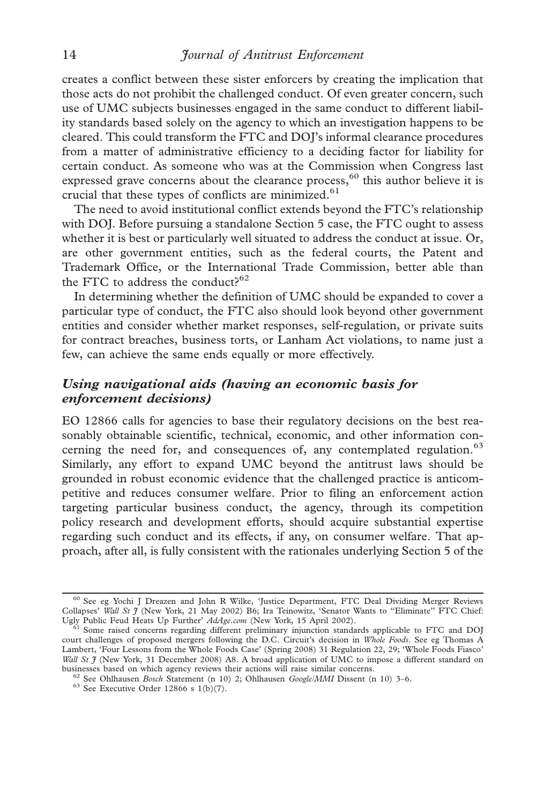creates a conflict between these sister enforcers by creating the implication that those acts do not prohibit the challenged conduct. Of even greater concern, such use of UMC subjects businesses engaged in the same conduct to different liability standards based solely on the agency to which an investigation happens to be cleared. This could transform the FTC and DOJ's informal clearance procedures from a matter of administrative efficiency to a deciding factor for liability for certain conduct. As someone who was at the Commission when Congress last expressed grave concerns about the clearance process,<sup>60</sup> this author believe it is crucial that these types of conflicts are minimized.<sup>61</sup>

The need to avoid institutional conflict extends beyond the FTC's relationship with DOJ. Before pursuing a standalone Section 5 case, the FTC ought to assess whether it is best or particularly well situated to address the conduct at issue. Or, are other government entities, such as the federal courts, the Patent and Trademark Office, or the International Trade Commission, better able than the FTC to address the conduct? $62$ 

In determining whether the definition of UMC should be expanded to cover a particular type of conduct, the FTC also should look beyond other government entities and consider whether market responses, self-regulation, or private suits for contract breaches, business torts, or Lanham Act violations, to name just a few, can achieve the same ends equally or more effectively.

## Using navigational aids (having an economic basis for enforcement decisions)

EO 12866 calls for agencies to base their regulatory decisions on the best reasonably obtainable scientific, technical, economic, and other information concerning the need for, and consequences of, any contemplated regulation.<sup>63</sup> Similarly, any effort to expand UMC beyond the antitrust laws should be grounded in robust economic evidence that the challenged practice is anticompetitive and reduces consumer welfare. Prior to filing an enforcement action targeting particular business conduct, the agency, through its competition policy research and development efforts, should acquire substantial expertise regarding such conduct and its effects, if any, on consumer welfare. That approach, after all, is fully consistent with the rationales underlying Section 5 of the

<sup>60</sup> See eg Yochi J Dreazen and John R Wilke, 'Justice Department, FTC Deal Dividing Merger Reviews Collapses' Wall St J (New York, 21 May 2002) B6; Ira Teinowitz, 'Senator Wants to "Eliminate" FTC Chief:<br>Ugly Public Feud Heats Up Further' AdAge.com (New York, 15 April 2002).

<sup>&</sup>lt;sup>61</sup> Some raised concerns regarding different preliminary injunction standards applicable to FTC and DOJ court challenges of proposed mergers following the D.C. Circuit's decision in Whole Foods. See eg Thomas A Lambert, 'Four Lessons from the Whole Foods Case' (Spring 2008) 31 Regulation 22, 29; 'Whole Foods Fiasco' Wall St  $\mathfrak f$  (New York, 31 December 2008) A8. A broad application of UMC to impose a different standard on businesses based on which agency reviews their actions will raise similar concerns.

<sup>&</sup>lt;sup>62</sup> See Ohlhausen *Bosch* Statement (n 10) 2; Ohlhausen *Google/MMI* Dissent (n 10) 3–6. <sup>63</sup> See Executive Order 12866 s 1(b)(7).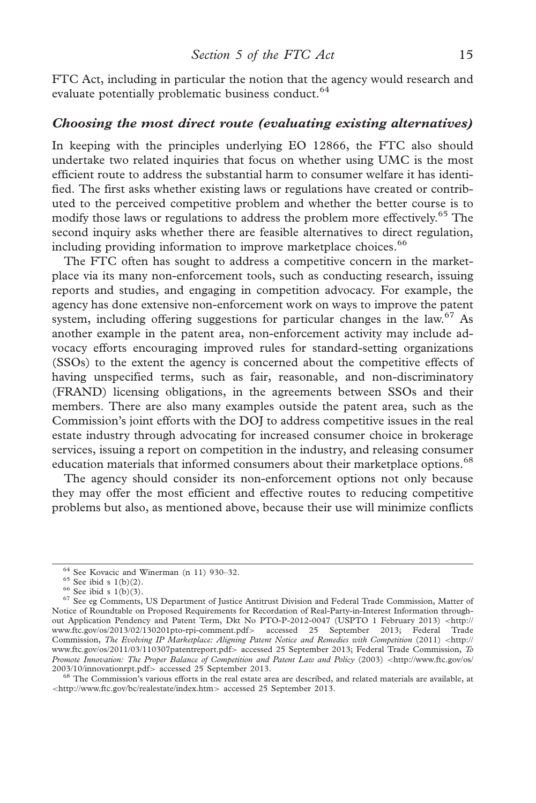FTC Act, including in particular the notion that the agency would research and evaluate potentially problematic business conduct.<sup>64</sup>

#### Choosing the most direct route (evaluating existing alternatives)

In keeping with the principles underlying EO 12866, the FTC also should undertake two related inquiries that focus on whether using UMC is the most efficient route to address the substantial harm to consumer welfare it has identified. The first asks whether existing laws or regulations have created or contributed to the perceived competitive problem and whether the better course is to modify those laws or regulations to address the problem more effectively.<sup>65</sup> The second inquiry asks whether there are feasible alternatives to direct regulation, including providing information to improve marketplace choices.<sup>66</sup>

The FTC often has sought to address a competitive concern in the marketplace via its many non-enforcement tools, such as conducting research, issuing reports and studies, and engaging in competition advocacy. For example, the agency has done extensive non-enforcement work on ways to improve the patent system, including offering suggestions for particular changes in the law.<sup>67</sup> As another example in the patent area, non-enforcement activity may include advocacy efforts encouraging improved rules for standard-setting organizations (SSOs) to the extent the agency is concerned about the competitive effects of having unspecified terms, such as fair, reasonable, and non-discriminatory (FRAND) licensing obligations, in the agreements between SSOs and their members. There are also many examples outside the patent area, such as the Commission's joint efforts with the DOJ to address competitive issues in the real estate industry through advocating for increased consumer choice in brokerage services, issuing a report on competition in the industry, and releasing consumer education materials that informed consumers about their marketplace options.<sup>68</sup>

The agency should consider its non-enforcement options not only because they may offer the most efficient and effective routes to reducing competitive problems but also, as mentioned above, because their use will minimize conflicts

<sup>&</sup>lt;sup>64</sup> See Kovacic and Winerman (n 11) 930–32.<br><sup>65</sup> See ibid s 1(b)(2).<br><sup>66</sup> See ibid s 1(b)(3).<br><sup>67</sup> See eg Comments, US Department of Justice Antitrust Division and Federal Trade Commission, Matter of Notice of Roundtable on Proposed Requirements for Recordation of Real-Party-in-Interest Information throughout Application Pendency and Patent Term, Dkt No PTO-P-2012-0047 (USPTO 1 February 2013) <[http://](http://www.ftc.gov/os/2013/02/130201pto-rpi-comment.pdf) [www.ftc.gov/os/2013/02/130201pto-rpi-comment.pdf](http://www.ftc.gov/os/2013/02/130201pto-rpi-comment.pdf)> accessed 25 September 2013; Federal Trade Commission, The Evolving IP Marketplace: Aligning Patent Notice and Remedies with Competition (2011) <[http://](http://www.ftc.gov/os/2011/03/110307patentreport.pdf) [www.ftc.gov/os/2011/03/110307patentreport.pdf](http://www.ftc.gov/os/2011/03/110307patentreport.pdf)> accessed 25 September 2013; Federal Trade Commission, To Promote Innovation: The Proper Balance of Competition and Patent Law and Policy (2003) <[http://www.ftc.gov/os/](http://www.ftc.gov/os/2003/10/innovationrpt.pdf)<br>2003/10/innovationrpt.pdf> accessed 25 September 2013.

 $68$  The Commission's various efforts in the real estate area are described, and related materials are available, at <<http://www.ftc.gov/bc/realestate/index.htm>> accessed 25 September 2013.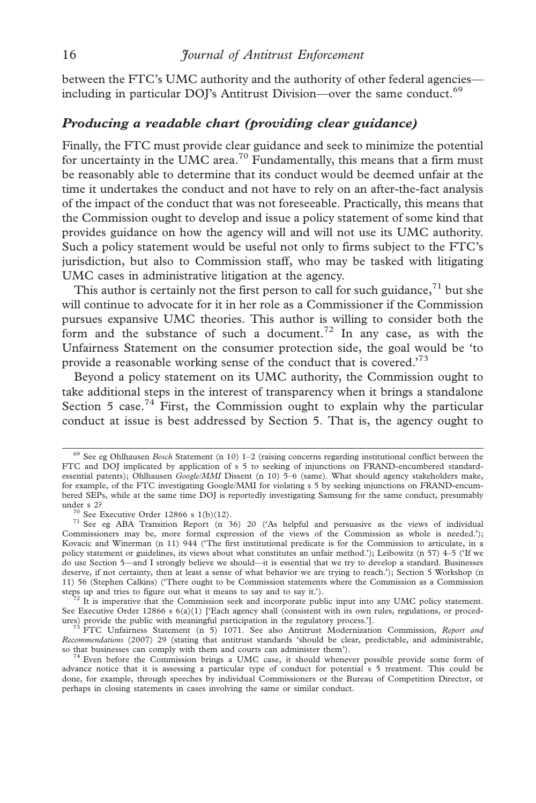between the FTC's UMC authority and the authority of other federal agencies including in particular DOJ's Antitrust Division—over the same conduct.<sup>69</sup>

#### Producing a readable chart (providing clear guidance)

Finally, the FTC must provide clear guidance and seek to minimize the potential for uncertainty in the UMC area.<sup>70</sup> Fundamentally, this means that a firm must be reasonably able to determine that its conduct would be deemed unfair at the time it undertakes the conduct and not have to rely on an after-the-fact analysis of the impact of the conduct that was not foreseeable. Practically, this means that the Commission ought to develop and issue a policy statement of some kind that provides guidance on how the agency will and will not use its UMC authority. Such a policy statement would be useful not only to firms subject to the FTC's jurisdiction, but also to Commission staff, who may be tasked with litigating UMC cases in administrative litigation at the agency.

This author is certainly not the first person to call for such guidance, $71$  but she will continue to advocate for it in her role as a Commissioner if the Commission pursues expansive UMC theories. This author is willing to consider both the form and the substance of such a document.<sup>72</sup> In any case, as with the Unfairness Statement on the consumer protection side, the goal would be 'to provide a reasonable working sense of the conduct that is covered.'73

Beyond a policy statement on its UMC authority, the Commission ought to take additional steps in the interest of transparency when it brings a standalone Section 5 case.<sup>74</sup> First, the Commission ought to explain why the particular conduct at issue is best addressed by Section 5. That is, the agency ought to

<sup>&</sup>lt;sup>69</sup> See eg Ohlhausen Bosch Statement (n 10) 1-2 (raising concerns regarding institutional conflict between the FTC and DOJ implicated by application of s 5 to seeking of injunctions on FRAND-encumbered standardessential patents); Ohlhausen Google/MMI Dissent (n 10) 5–6 (same). What should agency stakeholders make, for example, of the FTC investigating Google/MMI for violating s 5 by seeking injunctions on FRAND-encumbered SEPs, while at the same time DOJ is reportedly investigating Samsung for the same conduct, presumably

under s 2?  $\frac{70}{1}$  See Executive Order 12866 s 1(b)(12).  $\frac{71}{1}$  See eg ABA Transition Report (n 36) 20 ('As helpful and persuasive as the views of individual Commissioners may be, more formal expression of the views of the Commission as whole is needed.'); Kovacic and Winerman (n 11) 944 ('The first institutional predicate is for the Commission to articulate, in a policy statement or guidelines, its views about what constitutes an unfair method.'); Leibowitz (n 57) 4–5 ('If we do use Section 5—and I strongly believe we should—it is essential that we try to develop a standard. Businesses deserve, if not certainty, then at least a sense of what behavior we are trying to reach.'); Section 5 Workshop (n 11) 56 (Stephen Calkins) ('There ought to be Commission statements where the Commission as a Commission

 $3\frac{1}{2}$  It is imperative that the Commission seek and incorporate public input into any UMC policy statement. See Executive Order 12866 s  $6(a)(1)$  ['Each agency shall (consistent with its own rules, regulations, or proced-<br>ures) provide the public with meaningful participation in the regulatory process.'].

 $73$  FTC Unfairness Statement (n 5) 1071. See also Antitrust Modernization Commission, Report and Recommendations (2007) 29 (stating that antitrust standards 'should be clear, predictable, and administrable,

so that businesses can comply with them and courts can administer them'). <sup>74</sup> Even before the Commission brings a UMC case, it should whenever possible provide some form of advance notice that it is assessing a particular type of conduct for potential s 5 treatment. This could be done, for example, through speeches by individual Commissioners or the Bureau of Competition Director, or perhaps in closing statements in cases involving the same or similar conduct.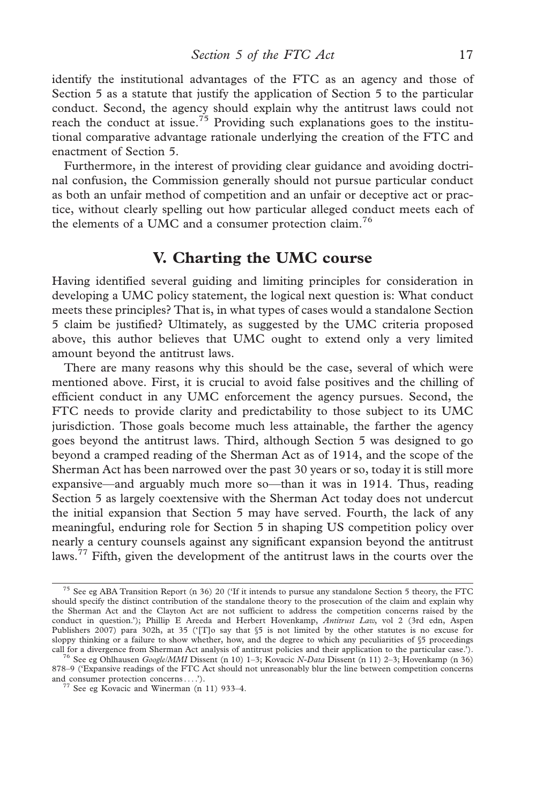identify the institutional advantages of the FTC as an agency and those of Section 5 as a statute that justify the application of Section 5 to the particular conduct. Second, the agency should explain why the antitrust laws could not reach the conduct at issue.<sup>75</sup> Providing such explanations goes to the institutional comparative advantage rationale underlying the creation of the FTC and enactment of Section 5.

Furthermore, in the interest of providing clear guidance and avoiding doctrinal confusion, the Commission generally should not pursue particular conduct as both an unfair method of competition and an unfair or deceptive act or practice, without clearly spelling out how particular alleged conduct meets each of the elements of a UMC and a consumer protection claim.<sup>76</sup>

## V. Charting the UMC course

Having identified several guiding and limiting principles for consideration in developing a UMC policy statement, the logical next question is: What conduct meets these principles? That is, in what types of cases would a standalone Section 5 claim be justified? Ultimately, as suggested by the UMC criteria proposed above, this author believes that UMC ought to extend only a very limited amount beyond the antitrust laws.

There are many reasons why this should be the case, several of which were mentioned above. First, it is crucial to avoid false positives and the chilling of efficient conduct in any UMC enforcement the agency pursues. Second, the FTC needs to provide clarity and predictability to those subject to its UMC jurisdiction. Those goals become much less attainable, the farther the agency goes beyond the antitrust laws. Third, although Section 5 was designed to go beyond a cramped reading of the Sherman Act as of 1914, and the scope of the Sherman Act has been narrowed over the past 30 years or so, today it is still more expansive—and arguably much more so—than it was in 1914. Thus, reading Section 5 as largely coextensive with the Sherman Act today does not undercut the initial expansion that Section 5 may have served. Fourth, the lack of any meaningful, enduring role for Section 5 in shaping US competition policy over nearly a century counsels against any significant expansion beyond the antitrust laws.<sup>77</sup> Fifth, given the development of the antitrust laws in the courts over the

<sup>75</sup> See eg ABA Transition Report (n 36) 20 ('If it intends to pursue any standalone Section 5 theory, the FTC should specify the distinct contribution of the standalone theory to the prosecution of the claim and explain why the Sherman Act and the Clayton Act are not sufficient to address the competition concerns raised by the conduct in question.'); Phillip E Areeda and Herbert Hovenkamp, Antitrust Law, vol 2 (3rd edn, Aspen Publishers 2007) para 302h, at 35 ('[T]o say that §5 is not limited by the other statutes is no excuse for sloppy thinking or a failure to show whether, how, and the degree to which any peculiarities of §5 proceedings

call for a divergence from Sherman Act analysis of antitrust policies and their application to the particular case.'). <sup>76</sup> See eg Ohlhausen *Google/MMI* Dissent (n 10) 1–3; Kovacic *N-Data* Dissent (n 11) 2–3; Hovenkamp 878–9 ('Expansive readings of the FTC Act should not unreasonably blur the line between competition concerns and consumer protection concerns... .'). <sup>77</sup> See eg Kovacic and Winerman (n 11) 933–4.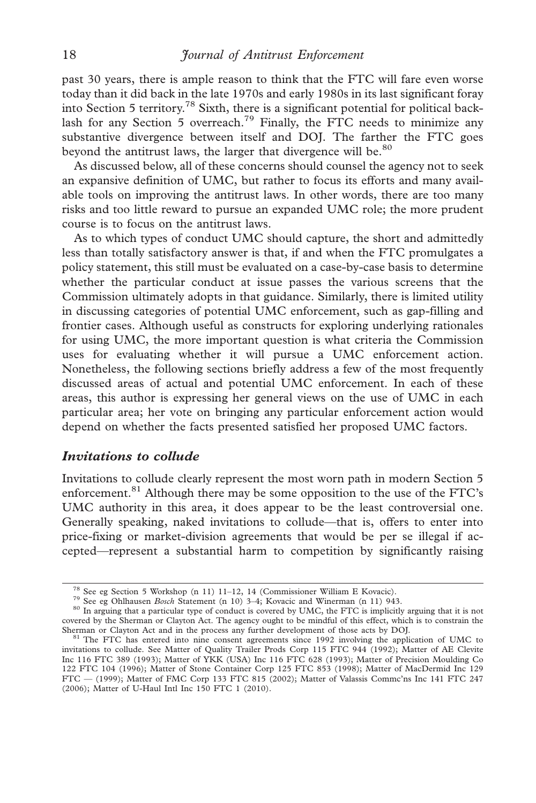past 30 years, there is ample reason to think that the FTC will fare even worse today than it did back in the late 1970s and early 1980s in its last significant foray into Section 5 territory.78 Sixth, there is a significant potential for political backlash for any Section 5 overreach.<sup>79</sup> Finally, the FTC needs to minimize any substantive divergence between itself and DOJ. The farther the FTC goes beyond the antitrust laws, the larger that divergence will be.<sup>80</sup>

As discussed below, all of these concerns should counsel the agency not to seek an expansive definition of UMC, but rather to focus its efforts and many available tools on improving the antitrust laws. In other words, there are too many risks and too little reward to pursue an expanded UMC role; the more prudent course is to focus on the antitrust laws.

As to which types of conduct UMC should capture, the short and admittedly less than totally satisfactory answer is that, if and when the FTC promulgates a policy statement, this still must be evaluated on a case-by-case basis to determine whether the particular conduct at issue passes the various screens that the Commission ultimately adopts in that guidance. Similarly, there is limited utility in discussing categories of potential UMC enforcement, such as gap-filling and frontier cases. Although useful as constructs for exploring underlying rationales for using UMC, the more important question is what criteria the Commission uses for evaluating whether it will pursue a UMC enforcement action. Nonetheless, the following sections briefly address a few of the most frequently discussed areas of actual and potential UMC enforcement. In each of these areas, this author is expressing her general views on the use of UMC in each particular area; her vote on bringing any particular enforcement action would depend on whether the facts presented satisfied her proposed UMC factors.

#### Invitations to collude

Invitations to collude clearly represent the most worn path in modern Section 5 enforcement.<sup>81</sup> Although there may be some opposition to the use of the FTC's UMC authority in this area, it does appear to be the least controversial one. Generally speaking, naked invitations to collude—that is, offers to enter into price-fixing or market-division agreements that would be per se illegal if accepted—represent a substantial harm to competition by significantly raising

<sup>&</sup>lt;sup>78</sup> See eg Section 5 Workshop (n 11) 11-12, 14 (Commissioner William E Kovacic).<br><sup>79</sup> See eg Ohlhausen *Bosch* Statement (n 10) 3-4; Kovacic and Winerman (n 11) 943.<br><sup>80</sup> In arguing that a particular type of conduct is c covered by the Sherman or Clayton Act. The agency ought to be mindful of this effect, which is to constrain the Sherman or Clayton Act and in the process any further development of those acts by DOJ.

<sup>&</sup>lt;sup>81</sup> The FTC has entered into nine consent agreements since 1992 involving the application of UMC to invitations to collude. See Matter of Quality Trailer Prods Corp 115 FTC 944 (1992); Matter of AE Clevite Inc 116 FTC 389 (1993); Matter of YKK (USA) Inc 116 FTC 628 (1993); Matter of Precision Moulding Co 122 FTC 104 (1996); Matter of Stone Container Corp 125 FTC 853 (1998); Matter of MacDermid Inc 129 FTC — (1999); Matter of FMC Corp 133 FTC 815 (2002); Matter of Valassis Commc'ns Inc 141 FTC 247 (2006); Matter of U-Haul Intl Inc 150 FTC 1 (2010).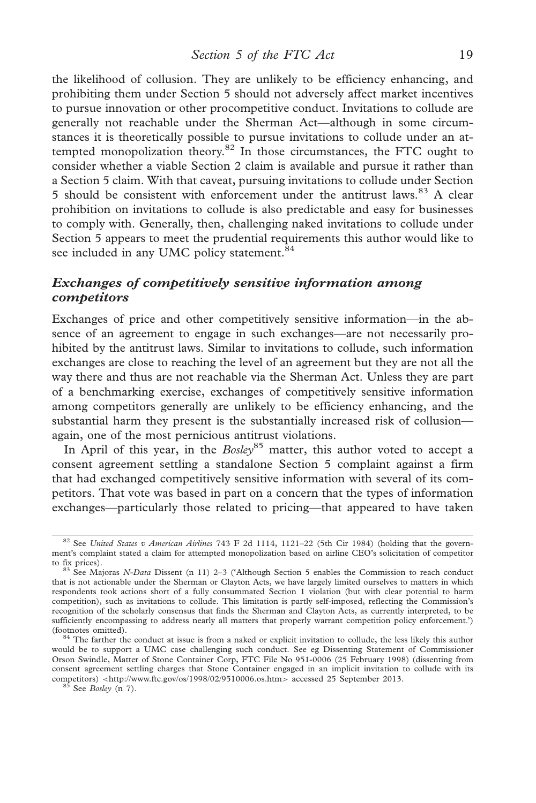the likelihood of collusion. They are unlikely to be efficiency enhancing, and prohibiting them under Section 5 should not adversely affect market incentives to pursue innovation or other procompetitive conduct. Invitations to collude are generally not reachable under the Sherman Act—although in some circumstances it is theoretically possible to pursue invitations to collude under an attempted monopolization theory. $82$  In those circumstances, the FTC ought to consider whether a viable Section 2 claim is available and pursue it rather than a Section 5 claim. With that caveat, pursuing invitations to collude under Section 5 should be consistent with enforcement under the antitrust laws.<sup>83</sup> A clear prohibition on invitations to collude is also predictable and easy for businesses to comply with. Generally, then, challenging naked invitations to collude under Section 5 appears to meet the prudential requirements this author would like to see included in any UMC policy statement.<sup>84</sup>

## Exchanges of competitively sensitive information among competitors

Exchanges of price and other competitively sensitive information—in the absence of an agreement to engage in such exchanges—are not necessarily prohibited by the antitrust laws. Similar to invitations to collude, such information exchanges are close to reaching the level of an agreement but they are not all the way there and thus are not reachable via the Sherman Act. Unless they are part of a benchmarking exercise, exchanges of competitively sensitive information among competitors generally are unlikely to be efficiency enhancing, and the substantial harm they present is the substantially increased risk of collusion again, one of the most pernicious antitrust violations.

In April of this year, in the  $Bosley^{85}$  matter, this author voted to accept a consent agreement settling a standalone Section 5 complaint against a firm that had exchanged competitively sensitive information with several of its competitors. That vote was based in part on a concern that the types of information exchanges—particularly those related to pricing—that appeared to have taken

<sup>&</sup>lt;sup>82</sup> See United States v American Airlines 743 F 2d 1114, 1121-22 (5th Cir 1984) (holding that the government's complaint stated a claim for attempted monopolization based on airline CEO's solicitation of competitor to fix prices).

 $83$  See Majoras N-Data Dissent (n 11) 2–3 ('Although Section 5 enables the Commission to reach conduct that is not actionable under the Sherman or Clayton Acts, we have largely limited ourselves to matters in which respondents took actions short of a fully consummated Section 1 violation (but with clear potential to harm competition), such as invitations to collude. This limitation is partly self-imposed, reflecting the Commission's recognition of the scholarly consensus that finds the Sherman and Clayton Acts, as currently interpreted, to be sufficiently encompassing to address nearly all matters that properly warrant competition policy enforcement.') (footnotes omitted). <sup>84</sup> The farther the conduct at issue is from a naked or explicit invitation to collude, the less likely this author

would be to support a UMC case challenging such conduct. See eg Dissenting Statement of Commissioner Orson Swindle, Matter of Stone Container Corp, FTC File No 951-0006 (25 February 1998) (dissenting from consent agreement settling charges that Stone Container engaged in an implicit invitation to collude with its competitors) <<http://www.ftc.gov/os/1998/02/9510006.os.htm>> accessed 25 September 2013. 85 See Bosley (n 7).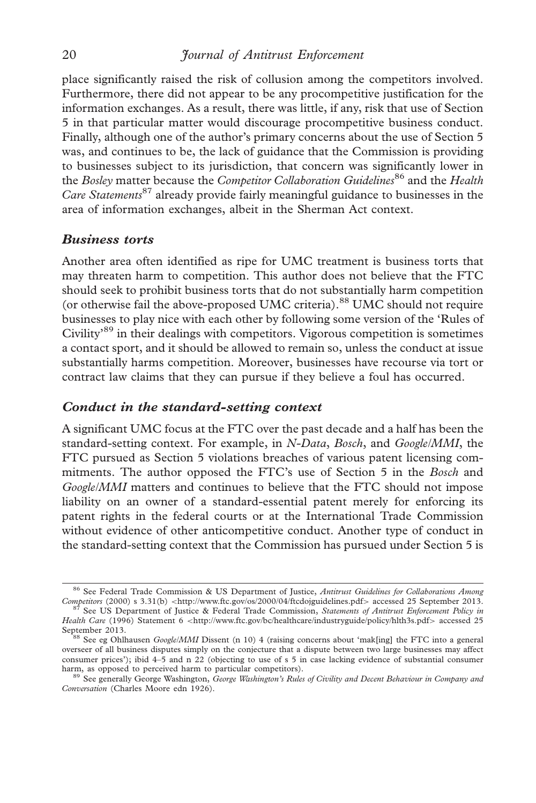place significantly raised the risk of collusion among the competitors involved. Furthermore, there did not appear to be any procompetitive justification for the information exchanges. As a result, there was little, if any, risk that use of Section 5 in that particular matter would discourage procompetitive business conduct. Finally, although one of the author's primary concerns about the use of Section 5 was, and continues to be, the lack of guidance that the Commission is providing to businesses subject to its jurisdiction, that concern was significantly lower in the Bosley matter because the Competitor Collaboration Guidelines<sup>86</sup> and the Health *Care Statements*<sup>87</sup> already provide fairly meaningful guidance to businesses in the area of information exchanges, albeit in the Sherman Act context.

#### Business torts

Another area often identified as ripe for UMC treatment is business torts that may threaten harm to competition. This author does not believe that the FTC should seek to prohibit business torts that do not substantially harm competition (or otherwise fail the above-proposed UMC criteria).<sup>88</sup> UMC should not require businesses to play nice with each other by following some version of the 'Rules of Civility'<sup>89</sup> in their dealings with competitors. Vigorous competition is sometimes a contact sport, and it should be allowed to remain so, unless the conduct at issue substantially harms competition. Moreover, businesses have recourse via tort or contract law claims that they can pursue if they believe a foul has occurred.

#### Conduct in the standard-setting context

A significant UMC focus at the FTC over the past decade and a half has been the standard-setting context. For example, in N-Data, Bosch, and Google/MMI, the FTC pursued as Section 5 violations breaches of various patent licensing commitments. The author opposed the FTC's use of Section 5 in the Bosch and Google/MMI matters and continues to believe that the FTC should not impose liability on an owner of a standard-essential patent merely for enforcing its patent rights in the federal courts or at the International Trade Commission without evidence of other anticompetitive conduct. Another type of conduct in the standard-setting context that the Commission has pursued under Section 5 is

<sup>&</sup>lt;sup>86</sup> See Federal Trade Commission & US Department of Justice, *Antitrust Guidelines for Collaborations Among* Competitors (2000) s 3.31(b) <http://www.ftc.gov/os/2000/04/ftcdojguidelines.pdf> accessed 25 September 2013. <sup>7</sup> See US Department of Justice & Federal Trade Commission, Statements of Antitrust Enforcement Policy in

Health Care (1996) Statement 6 <<http://www.ftc.gov/bc/healthcare/industryguide/policy/hlth3s.pdf>> accessed 25 September 2013.<br><sup>88</sup> See eg Ohlhausen Google/MMI Dissent (n 10) 4 (raising concerns about 'mak[ing] the FTC into a general

overseer of all business disputes simply on the conjecture that a dispute between two large businesses may affect consumer prices'); ibid 4–5 and n 22 (objecting to use of s 5 in case lacking evidence of substantial consumer harm, as opposed to perceived harm to particular competitors).

<sup>89</sup> See generally George Washington, George Washington's Rules of Civility and Decent Behaviour in Company and Conversation (Charles Moore edn 1926).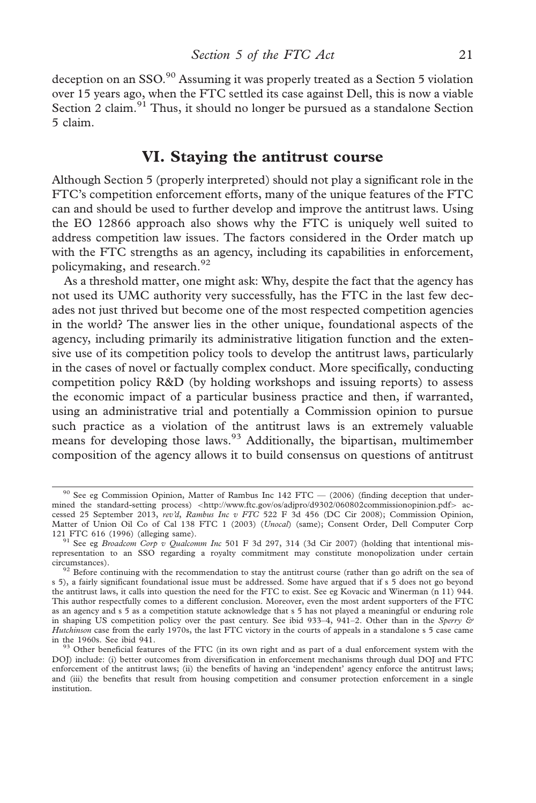deception on an SSO.<sup>90</sup> Assuming it was properly treated as a Section 5 violation over 15 years ago, when the FTC settled its case against Dell, this is now a viable Section 2 claim.<sup>91</sup> Thus, it should no longer be pursued as a standalone Section 5 claim.

# VI. Staying the antitrust course

Although Section 5 (properly interpreted) should not play a significant role in the FTC's competition enforcement efforts, many of the unique features of the FTC can and should be used to further develop and improve the antitrust laws. Using the EO 12866 approach also shows why the FTC is uniquely well suited to address competition law issues. The factors considered in the Order match up with the FTC strengths as an agency, including its capabilities in enforcement, policymaking, and research.<sup>92</sup>

As a threshold matter, one might ask: Why, despite the fact that the agency has not used its UMC authority very successfully, has the FTC in the last few decades not just thrived but become one of the most respected competition agencies in the world? The answer lies in the other unique, foundational aspects of the agency, including primarily its administrative litigation function and the extensive use of its competition policy tools to develop the antitrust laws, particularly in the cases of novel or factually complex conduct. More specifically, conducting competition policy R&D (by holding workshops and issuing reports) to assess the economic impact of a particular business practice and then, if warranted, using an administrative trial and potentially a Commission opinion to pursue such practice as a violation of the antitrust laws is an extremely valuable means for developing those laws.  $93$  Additionally, the bipartisan, multimember composition of the agency allows it to build consensus on questions of antitrust

<sup>&</sup>lt;sup>90</sup> See eg Commission Opinion, Matter of Rambus Inc 142 FTC — (2006) (finding deception that undermined the standard-setting process) <<http://www.ftc.gov/os/adjpro/d9302/060802commissionopinion.pdf>> accessed 25 September 2013, rev'd, Rambus Inc v FTC 522 F 3d 456 (DC Cir 2008); Commission Opinion, Matter of Union Oil Co of Cal 138 FTC 1 (2003) (*Unocal*) (same); Consent Order, Dell Computer Corp 121 FTC 616 (1996) (alleging same).

<sup>&</sup>lt;sup>91</sup> See eg *Broadcom Corp v Qualcomm Inc* 501 F 3d 297, 314 (3d Cir 2007) (holding that intentional misrepresentation to an SSO regarding a royalty commitment may constitute monopolization under certain circumstances).

<sup>&</sup>lt;sup>92</sup> Before continuing with the recommendation to stay the antitrust course (rather than go adrift on the sea of s 5), a fairly significant foundational issue must be addressed. Some have argued that if s 5 does not go beyond the antitrust laws, it calls into question the need for the FTC to exist. See eg Kovacic and Winerman (n 11) 944. This author respectfully comes to a different conclusion. Moreover, even the most ardent supporters of the FTC as an agency and s 5 as a competition statute acknowledge that s 5 has not played a meaningful or enduring role in shaping US competition policy over the past century. See ibid 933–4, 941–2. Other than in the Sperry  $\odot$ Hutchinson case from the early 1970s, the last FTC victory in the courts of appeals in a standalone s 5 case came in the 1960s. See ibid 941.

<sup>&</sup>lt;sup>93</sup> Other beneficial features of the FTC (in its own right and as part of a dual enforcement system with the DOJ) include: (i) better outcomes from diversification in enforcement mechanisms through dual DOJ and FTC enforcement of the antitrust laws; (ii) the benefits of having an 'independent' agency enforce the antitrust laws; and (iii) the benefits that result from housing competition and consumer protection enforcement in a single institution.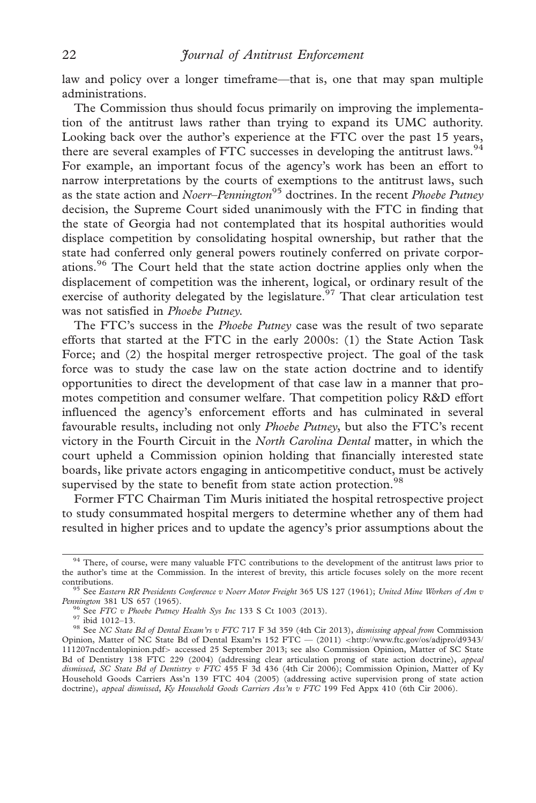law and policy over a longer timeframe—that is, one that may span multiple administrations.

The Commission thus should focus primarily on improving the implementation of the antitrust laws rather than trying to expand its UMC authority. Looking back over the author's experience at the FTC over the past 15 years, there are several examples of FTC successes in developing the antitrust laws.<sup>94</sup> For example, an important focus of the agency's work has been an effort to narrow interpretations by the courts of exemptions to the antitrust laws, such as the state action and Noerr–Pennington<sup>95</sup> doctrines. In the recent Phoebe Putney decision, the Supreme Court sided unanimously with the FTC in finding that the state of Georgia had not contemplated that its hospital authorities would displace competition by consolidating hospital ownership, but rather that the state had conferred only general powers routinely conferred on private corporations.<sup>96</sup> The Court held that the state action doctrine applies only when the displacement of competition was the inherent, logical, or ordinary result of the exercise of authority delegated by the legislature.<sup>97</sup> That clear articulation test was not satisfied in Phoebe Putney.

The FTC's success in the Phoebe Putney case was the result of two separate efforts that started at the FTC in the early 2000s: (1) the State Action Task Force; and (2) the hospital merger retrospective project. The goal of the task force was to study the case law on the state action doctrine and to identify opportunities to direct the development of that case law in a manner that promotes competition and consumer welfare. That competition policy R&D effort influenced the agency's enforcement efforts and has culminated in several favourable results, including not only Phoebe Putney, but also the FTC's recent victory in the Fourth Circuit in the North Carolina Dental matter, in which the court upheld a Commission opinion holding that financially interested state boards, like private actors engaging in anticompetitive conduct, must be actively supervised by the state to benefit from state action protection.<sup>98</sup>

Former FTC Chairman Tim Muris initiated the hospital retrospective project to study consummated hospital mergers to determine whether any of them had resulted in higher prices and to update the agency's prior assumptions about the

<sup>&</sup>lt;sup>94</sup> There, of course, were many valuable FTC contributions to the development of the antitrust laws prior to the author's time at the Commission. In the interest of brevity, this article focuses solely on the more recent

contributions.<br><sup>95</sup> See Eastern RR Presidents Conference v Noerr Motor Freight 365 US 127 (1961); United Mine Workers of Am v<br>Pennington 381 US 657 (1965).

<sup>&</sup>lt;sup>96</sup> See FTC v Phoebe Putney Health Sys Inc 133 S Ct 1003 (2013). <sup>97</sup> ibid 1012–13.<br><sup>97</sup> ibid 1012–13. 98 See NC State Bd of Dental Exam'rs v FTC 717 F 3d 359 (4th Cir 2013), dismissing appeal from Commission Opinion, Matter of NC State Bd of Dental Exam'rs 152 FTC - (2011) <[http://www.ftc.gov/os/adjpro/d9343/](http://www.ftc.gov/os/adjpro/d9343/111207ncdentalopinion.pdf) [111207ncdentalopinion.pdf](http://www.ftc.gov/os/adjpro/d9343/111207ncdentalopinion.pdf)> accessed 25 September 2013; see also Commission Opinion, Matter of SC State Bd of Dentistry 138 FTC 229 (2004) (addressing clear articulation prong of state action doctrine), appeal dismissed, SC State Bd of Dentistry v FTC 455 F 3d 436 (4th Cir 2006); Commission Opinion, Matter of Ky Household Goods Carriers Ass'n 139 FTC 404 (2005) (addressing active supervision prong of state action doctrine), appeal dismissed, Ky Household Goods Carriers Ass'n v FTC 199 Fed Appx 410 (6th Cir 2006).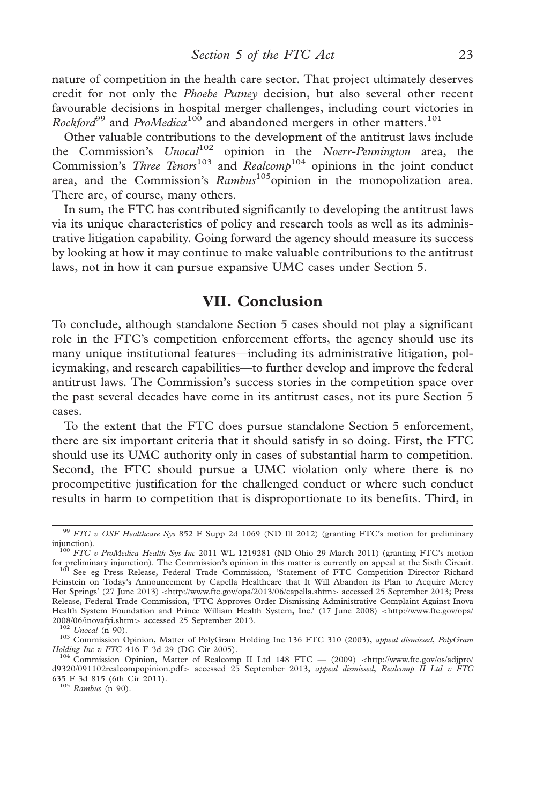nature of competition in the health care sector. That project ultimately deserves credit for not only the *Phoebe Putney* decision, but also several other recent favourable decisions in hospital merger challenges, including court victories in *Rockford*<sup>99</sup> and *ProMedica*<sup>100</sup> and abandoned mergers in other matters.<sup>101</sup>

Other valuable contributions to the development of the antitrust laws include the Commission's  $Unocal^{102}$  opinion in the Noerr-Pennington area, the Commission's *Three Tenors*<sup>103</sup> and *Realcomb*<sup>104</sup> opinions in the joint conduct area, and the Commission's  $Rambus^{105}$ opinion in the monopolization area. There are, of course, many others.

In sum, the FTC has contributed significantly to developing the antitrust laws via its unique characteristics of policy and research tools as well as its administrative litigation capability. Going forward the agency should measure its success by looking at how it may continue to make valuable contributions to the antitrust laws, not in how it can pursue expansive UMC cases under Section 5.

# VII. Conclusion

To conclude, although standalone Section 5 cases should not play a significant role in the FTC's competition enforcement efforts, the agency should use its many unique institutional features—including its administrative litigation, policymaking, and research capabilities—to further develop and improve the federal antitrust laws. The Commission's success stories in the competition space over the past several decades have come in its antitrust cases, not its pure Section 5 cases.

To the extent that the FTC does pursue standalone Section 5 enforcement, there are six important criteria that it should satisfy in so doing. First, the FTC should use its UMC authority only in cases of substantial harm to competition. Second, the FTC should pursue a UMC violation only where there is no procompetitive justification for the challenged conduct or where such conduct results in harm to competition that is disproportionate to its benefits. Third, in

Holding Inc v FTC 416 F 3d 29 (DC Cir 2005).<br><sup>104</sup> Commission Opinion, Matter of Realcomp II Ltd 148 FTC — (2009) <[http://www.ftc.gov/os/adjpro/](http://www.ftc.gov/os/adjpro/d9320/091102realcompopinion.pdf)<br>[d9320/091102realcompopinion.pdf](http://www.ftc.gov/os/adjpro/d9320/091102realcompopinion.pdf)> accessed 25 September 2013, appeal dismissed 635 F 3d 815 (6th Cir 2011). <sup>105</sup> Rambus (n 90).

<sup>99</sup> FTC v OSF Healthcare Sys 852 F Supp 2d 1069 (ND Ill 2012) (granting FTC's motion for preliminary

injunction).  $100$  FTC v ProMedica Health Sys Inc 2011 WL 1219281 (ND Ohio 29 March 2011) (granting FTC's motion for preliminary injunction). The Commission's opinion in this matter is currently on appeal at the Sixth Cir <sup>101</sup> See eg Press Release, Federal Trade Commission, 'Statement of FTC Competition Director Richard Feinstein on Today's Announcement by Capella Healthcare that It Will Abandon its Plan to Acquire Mercy Hot Springs' (27 June 2013) <<http://www.ftc.gov/opa/2013/06/capella.shtm>> accessed 25 September 2013; Press Release, Federal Trade Commission, 'FTC Approves Order Dismissing Administrative Complaint Against Inova Health System Foundation and Prince William Health System, Inc.' (17 June 2008) <[http://www.ftc.gov/opa/](http://www.ftc.gov/opa/2008/06/inovafyi.shtm) 2008/06/inovafvi.shtm> accessed 25 September 2013.

<sup>&</sup>lt;sup>102</sup> Unocal (n 90). <sup>202</sup> Unocal (n 90). <sup>202</sup> Unocal (n 90). <sup>103</sup> Commission Opinion, Matter of PolyGram Holding Inc 136 FTC 310 (2003), appeal dismissed, PolyGram